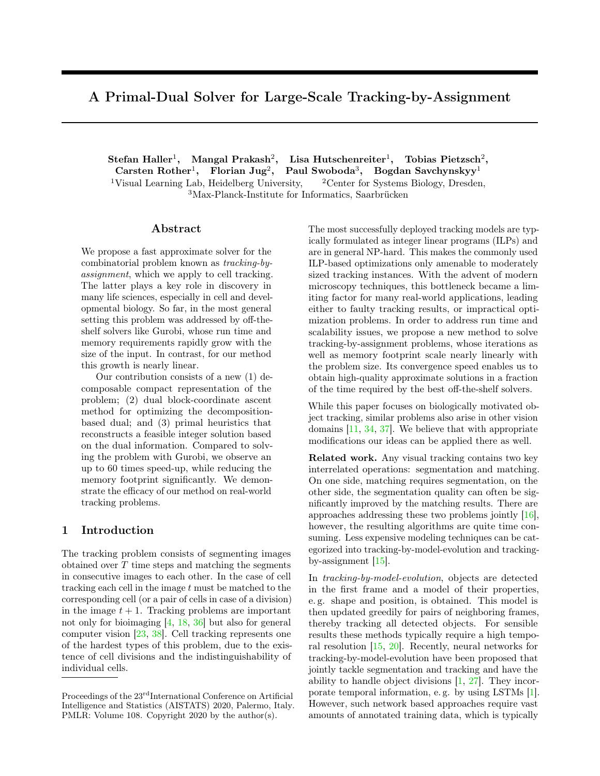# A Primal-Dual Solver for Large-Scale Tracking-by-Assignment

 ${\rm Stefan\; Haller^1, \quad Mangal\; Prakash^2, \quad Lisa\; Hutschenreiter^1, \quad Tobias\; Pietzsch^2, }$ Carsten Rother<sup>1</sup>, Florian Jug<sup>2</sup>, Paul Swoboda<sup>3</sup>, Bogdan Savchynskyy<sup>1</sup> <sup>1</sup>Visual Learning Lab, Heidelberg University,  $\frac{2 \text{Center}}{2 \text{Center}}$  Systems Biology, Dresden, <sup>3</sup>Max-Planck-Institute for Informatics, Saarbrücken

### Abstract

We propose a fast approximate solver for the combinatorial problem known as *tracking-byassignment*, which we apply to cell tracking. The latter plays a key role in discovery in many life sciences, especially in cell and developmental biology. So far, in the most general setting this problem was addressed by off-theshelf solvers like Gurobi, whose run time and memory requirements rapidly grow with the size of the input. In contrast, for our method this growth is nearly linear.

Our contribution consists of a new (1) decomposable compact representation of the problem; (2) dual block-coordinate ascent method for optimizing the decompositionbased dual; and (3) primal heuristics that reconstructs a feasible integer solution based on the dual information. Compared to solving the problem with Gurobi, we observe an up to 60 times speed-up, while reducing the memory footprint significantly. We demonstrate the efficacy of our method on real-world tracking problems.

## <span id="page-0-0"></span>1 Introduction

The tracking problem consists of segmenting images obtained over  $T$  time steps and matching the segments in consecutive images to each other. In the case of cell tracking each cell in the image  $t$  must be matched to the corresponding cell (or a pair of cells in case of a division) in the image  $t + 1$ . Tracking problems are important not only for bioimaging [\[4,](#page-8-0) [18,](#page-8-1) [36\]](#page-9-0) but also for general computer vision [\[23,](#page-9-1) [38\]](#page-9-2). Cell tracking represents one of the hardest types of this problem, due to the existence of cell divisions and the indistinguishability of individual cells.

The most successfully deployed tracking models are typically formulated as integer linear programs (ILPs) and are in general NP-hard. This makes the commonly used ILP-based optimizations only amenable to moderately sized tracking instances. With the advent of modern microscopy techniques, this bottleneck became a limiting factor for many real-world applications, leading either to faulty tracking results, or impractical optimization problems. In order to address run time and scalability issues, we propose a new method to solve tracking-by-assignment problems, whose iterations as well as memory footprint scale nearly linearly with the problem size. Its convergence speed enables us to obtain high-quality approximate solutions in a fraction of the time required by the best off-the-shelf solvers.

While this paper focuses on biologically motivated object tracking, similar problems also arise in other vision domains [\[11,](#page-8-2) [34,](#page-9-3) [37\]](#page-9-4). We believe that with appropriate modifications our ideas can be applied there as well.

Related work. Any visual tracking contains two key interrelated operations: segmentation and matching. On one side, matching requires segmentation, on the other side, the segmentation quality can often be significantly improved by the matching results. There are approaches addressing these two problems jointly [\[16\]](#page-8-3), however, the resulting algorithms are quite time consuming. Less expensive modeling techniques can be categorized into tracking-by-model-evolution and trackingby-assignment [\[15\]](#page-8-4).

In *tracking-by-model-evolution*, objects are detected in the first frame and a model of their properties, e. g. shape and position, is obtained. This model is then updated greedily for pairs of neighboring frames, thereby tracking all detected objects. For sensible results these methods typically require a high temporal resolution [\[15,](#page-8-4) [20\]](#page-9-5). Recently, neural networks for tracking-by-model-evolution have been proposed that jointly tackle segmentation and tracking and have the ability to handle object divisions [\[1,](#page-8-5) [27\]](#page-9-6). They incorporate temporal information, e. g. by using LSTMs [\[1\]](#page-8-5). However, such network based approaches require vast amounts of annotated training data, which is typically

Proceedings of the 23<sup>rd</sup>International Conference on Artificial Intelligence and Statistics (AISTATS) 2020, Palermo, Italy. PMLR: Volume 108. Copyright 2020 by the author(s).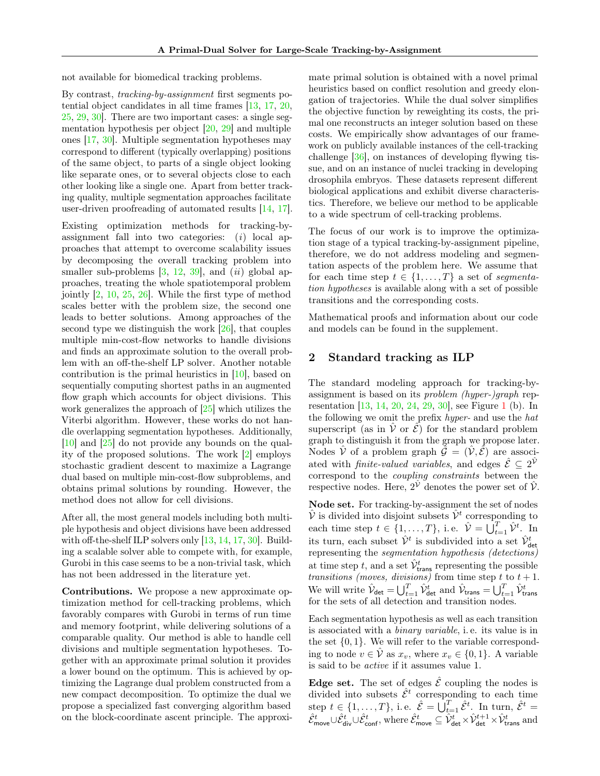not available for biomedical tracking problems.

By contrast, *tracking-by-assignment* first segments potential object candidates in all time frames [\[13,](#page-8-6) [17,](#page-8-7) [20,](#page-9-5) [25,](#page-9-7) [29,](#page-9-8) [30\]](#page-9-9). There are two important cases: a single segmentation hypothesis per object [\[20,](#page-9-5) [29\]](#page-9-8) and multiple ones [\[17,](#page-8-7) [30\]](#page-9-9). Multiple segmentation hypotheses may correspond to different (typically overlapping) positions of the same object, to parts of a single object looking like separate ones, or to several objects close to each other looking like a single one. Apart from better tracking quality, multiple segmentation approaches facilitate user-driven proofreading of automated results [\[14,](#page-8-8) [17\]](#page-8-7).

Existing optimization methods for tracking-byassignment fall into two categories: (*i*) local approaches that attempt to overcome scalability issues by decomposing the overall tracking problem into smaller sub-problems [\[3,](#page-8-9) [12,](#page-8-10) [39\]](#page-9-10), and (*ii*) global approaches, treating the whole spatiotemporal problem jointly [\[2,](#page-8-11) [10,](#page-8-12) [25,](#page-9-7) [26\]](#page-9-11). While the first type of method scales better with the problem size, the second one leads to better solutions. Among approaches of the second type we distinguish the work [\[26\]](#page-9-11), that couples multiple min-cost-flow networks to handle divisions and finds an approximate solution to the overall problem with an off-the-shelf LP solver. Another notable contribution is the primal heuristics in [\[10\]](#page-8-12), based on sequentially computing shortest paths in an augmented flow graph which accounts for object divisions. This work generalizes the approach of [\[25\]](#page-9-7) which utilizes the Viterbi algorithm. However, these works do not handle overlapping segmentation hypotheses. Additionally, [\[10\]](#page-8-12) and [\[25\]](#page-9-7) do not provide any bounds on the quality of the proposed solutions. The work [\[2\]](#page-8-11) employs stochastic gradient descent to maximize a Lagrange dual based on multiple min-cost-flow subproblems, and obtains primal solutions by rounding. However, the method does not allow for cell divisions.

After all, the most general models including both multiple hypothesis and object divisions have been addressed with off-the-shelf ILP solvers only [\[13,](#page-8-6) [14,](#page-8-8) [17,](#page-8-7) [30\]](#page-9-9). Building a scalable solver able to compete with, for example, Gurobi in this case seems to be a non-trivial task, which has not been addressed in the literature yet.

Contributions. We propose a new approximate optimization method for cell-tracking problems, which favorably compares with Gurobi in terms of run time and memory footprint, while delivering solutions of a comparable quality. Our method is able to handle cell divisions and multiple segmentation hypotheses. Together with an approximate primal solution it provides a lower bound on the optimum. This is achieved by optimizing the Lagrange dual problem constructed from a new compact decomposition. To optimize the dual we propose a specialized fast converging algorithm based on the block-coordinate ascent principle. The approximate primal solution is obtained with a novel primal heuristics based on conflict resolution and greedy elongation of trajectories. While the dual solver simplifies the objective function by reweighting its costs, the primal one reconstructs an integer solution based on these costs. We empirically show advantages of our framework on publicly available instances of the cell-tracking challenge [\[36\]](#page-9-0), on instances of developing flywing tissue, and on an instance of nuclei tracking in developing drosophila embryos. These datasets represent different biological applications and exhibit diverse characteristics. Therefore, we believe our method to be applicable to a wide spectrum of cell-tracking problems.

The focus of our work is to improve the optimization stage of a typical tracking-by-assignment pipeline, therefore, we do not address modeling and segmentation aspects of the problem here. We assume that for each time step  $t \in \{1, ..., T\}$  a set of *segmentation hypotheses* is available along with a set of possible transitions and the corresponding costs.

Mathematical proofs and information about our code and models can be found in the supplement.

## 2 Standard tracking as ILP

The standard modeling approach for tracking-byassignment is based on its *problem (hyper-)graph* representation [\[13,](#page-8-6) [14,](#page-8-8) [20,](#page-9-5) [24,](#page-9-12) [29,](#page-9-8) [30\]](#page-9-9), see Figure [1](#page-2-0) (b). In the following we omit the prefix *hyper-* and use the *hat* superscript (as in  $\hat{V}$  or  $\hat{\mathcal{E}}$ ) for the standard problem graph to distinguish it from the graph we propose later. Nodes  $\hat{V}$  of a problem graph  $\hat{\mathcal{G}} = (\hat{V}, \hat{\mathcal{E}})$  are associated with *finite-valued variables*, and edges  $\hat{\mathcal{E}} \subseteq 2^{\hat{\mathcal{V}}}$ correspond to the *coupling constraints* between the respective nodes. Here,  $2^{\hat{\mathcal{V}}}$  denotes the power set of  $\hat{\mathcal{V}}$ .

Node set. For tracking-by-assignment the set of nodes  $\hat{\mathcal{V}}$  is divided into disjoint subsets  $\hat{\mathcal{V}}^t$  corresponding to each time step  $t \in \{1, \ldots, T\}$ , i.e.  $\hat{\mathcal{V}} = \bigcup_{t=1}^{T} \hat{\mathcal{V}}^{t}$ . In its turn, each subset  $\hat{\mathcal{V}}^t$  is subdivided into a set  $\hat{\mathcal{V}}_{\text{det}}^t$ representing the *segmentation hypothesis (detections)* at time step t, and a set  $\hat{\mathcal{V}}_{\text{trans}}^t$  representing the possible *transitions (moves, divisions)* from time step t to  $t + 1$ . We will write  $\hat{\mathcal{V}}_{\text{det}} = \bigcup_{t=1}^{T} \hat{\mathcal{V}}_{\text{det}}^{t}$  and  $\hat{\mathcal{V}}_{\text{trans}} = \bigcup_{t=1}^{T} \hat{\mathcal{V}}_{\text{trans}}^{t}$  for the sets of all detection and transition nodes.

Each segmentation hypothesis as well as each transition is associated with a *binary variable*, i. e. its value is in the set  $\{0, 1\}$ . We will refer to the variable corresponding to node  $v \in \hat{V}$  as  $x_v$ , where  $x_v \in \{0, 1\}$ . A variable is said to be *active* if it assumes value 1.

**Edge set.** The set of edges  $\hat{\mathcal{E}}$  coupling the nodes is divided into subsets  $\hat{\mathcal{E}}^t$  corresponding to each time step  $t \in \{1, ..., T\}$ , i.e.  $\hat{\mathcal{E}} = \bigcup_{t=1}^{T} \hat{\mathcal{E}}^t$ . In turn,  $\hat{\mathcal{E}}^t =$  $\hat{\mathcal{E}}_{\sf move}^{t} \cup \hat{\mathcal{E}}_{\sf donf}^{t},$  where  $\hat{\mathcal{E}}_{\sf move}^{t} \subseteq \hat{\mathcal{V}}_{\sf det}^{t} \times \hat{\mathcal{V}}_{\sf det}^{t+1} \times \hat{\mathcal{V}}_{\sf trans}^{t}$  and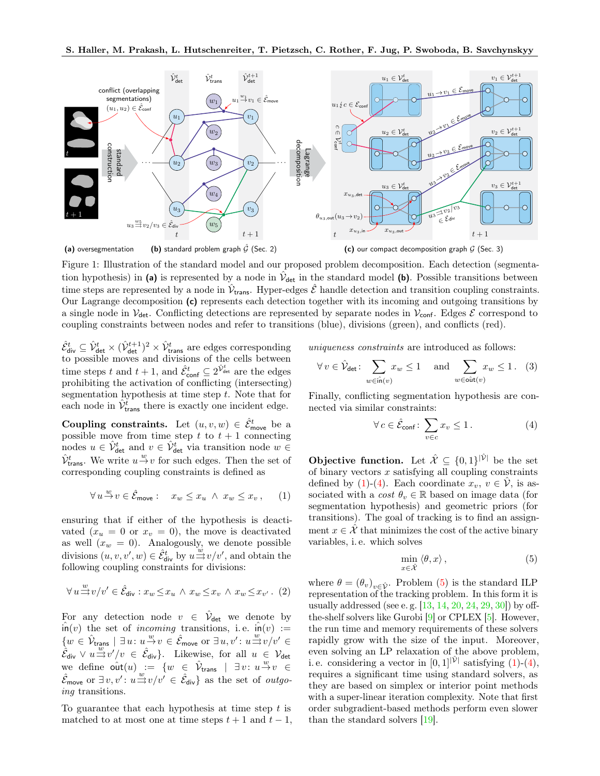<span id="page-2-0"></span>

Figure 1: Illustration of the standard model and our proposed problem decomposition. Each detection (segmentation hypothesis) in (a) is represented by a node in  $\hat{V}_{\text{det}}$  in the standard model (b). Possible transitions between time steps are represented by a node in  $\hat{V}_{trans}$ . Hyper-edges  $\hat{\mathcal{E}}$  handle detection and transition coupling constraints. Our Lagrange decomposition (c) represents each detection together with its incoming and outgoing transitions by a single node in  $V_{\text{det}}$ . Conflicting detections are represented by separate nodes in  $V_{\text{conf}}$ . Edges  $\mathcal E$  correspond to coupling constraints between nodes and refer to transitions (blue), divisions (green), and conflicts (red).

 $\hat{\mathcal{E}}_{div}^t \subseteq \hat{\mathcal{V}}_{det}^t \times (\hat{\mathcal{V}}_{det}^{t+1})^2 \times \hat{\mathcal{V}}_{trans}^t$  are edges corresponding to possible moves and divisions of the cells between time steps t and  $t + 1$ , and  $\hat{\mathcal{E}}_{\text{conf}}^t \subseteq 2^{\hat{\mathcal{V}}_{\text{det}}^t}$  are the edges prohibiting the activation of conflicting (intersecting) segmentation hypothesis at time step  $t$ . Note that for each node in  $\hat{\mathcal{V}}_{\text{trans}}^t$  there is exactly one incident edge.

Coupling constraints. Let  $(u, v, w) \in \hat{\mathcal{E}}_{\text{move}}^t$  be a possible move from time step t to  $t + 1$  connecting nodes  $u \in \hat{\mathcal{V}}_{\text{det}}^t$  and  $v \in \hat{\mathcal{V}}_{\text{det}}^t$  via transition node  $w \in$  $\hat{\mathcal{V}}_{\text{trans}}^t$ . We write  $u \stackrel{w}{\rightarrow} v$  for such edges. Then the set of corresponding coupling constraints is defined as

<span id="page-2-1"></span>
$$
\forall u \stackrel{w}{\rightarrow} v \in \hat{\mathcal{E}}_{\text{move}}: \quad x_w \leq x_u \ \land \ x_w \leq x_v \,, \qquad (1)
$$

ensuring that if either of the hypothesis is deactivated  $(x_u = 0 \text{ or } x_v = 0)$ , the move is deactivated as well  $(x_w = 0)$ . Analogously, we denote possible divisions  $(u, v, v', w) \in \hat{\mathcal{E}}_{div}^t$  by  $u \stackrel{w}{\Longrightarrow} v/v'$ , and obtain the following coupling constraints for divisions:

$$
\forall\, u \negthinspace \stackrel{w}{\rightrightarrows} v/v' \in \hat{\mathcal{E}}_{\mathsf{div}}: x_w \!\leq\! x_u \mathrel{\wedge} x_w \!\leq\! x_v \mathrel{\wedge} x_w \!\leq\! x_{v'} \,. \eqno(2)
$$

For any detection node  $v \in \hat{\mathcal{V}}_{\text{det}}$  we denote by  $\hat{\mathsf{in}}(v)$  the set of *incoming* transitions, i.e.  $\hat{\mathsf{in}}(v) :=$  $\{w \in \hat{\mathcal{V}}_{\text{trans}} \mid \exists u \colon u \stackrel{w}{\rightarrow} v \in \hat{\mathcal{E}}_{\text{move}} \text{ or } \exists u, v' \colon u \stackrel{w}{\Longrightarrow} v/v' \in$  $\hat{\mathcal{E}}_{div} \vee u \stackrel{w}{\rightharpoonup} v'/v \in \hat{\mathcal{E}}_{div}$ . Likewise, for all  $u \in \mathcal{V}_{det}$ we define  $\hat{\text{out}}(u) := \{w \in \hat{\mathcal{V}}_{\text{trans}} \mid \exists v : u \stackrel{w}{\rightarrow} v \in$  $\hat{\mathcal{E}}_{\text{move}}$  or  $\exists v, v': u \stackrel{w}{\Longrightarrow} v/v' \in \hat{\mathcal{E}}_{\text{div}}$  as the set of *outgoing* transitions.

To guarantee that each hypothesis at time step  $t$  is matched to at most one at time steps  $t + 1$  and  $t - 1$ , *uniqueness constraints* are introduced as follows:

$$
\forall v \in \hat{\mathcal{V}}_{\text{det}} \colon \sum_{w \in \hat{\text{in}}(v)} x_w \le 1 \quad \text{and} \sum_{w \in \hat{\text{out}}(v)} x_w \le 1. \tag{3}
$$

Finally, conflicting segmentation hypothesis are connected via similar constraints:

<span id="page-2-2"></span>
$$
\forall c \in \hat{\mathcal{E}}_{\text{conf}} \colon \sum_{v \in c} x_v \le 1. \tag{4}
$$

**Objective function.** Let  $\hat{\mathcal{X}} \subseteq \{0,1\}^{|\hat{\mathcal{V}}|}$  be the set of binary vectors  $x$  satisfying all coupling constraints defined by [\(1\)](#page-2-1)-[\(4\)](#page-2-2). Each coordinate  $x_v, v \in \hat{\mathcal{V}}$ , is associated with a *cost*  $\theta_v \in \mathbb{R}$  based on image data (for segmentation hypothesis) and geometric priors (for transitions). The goal of tracking is to find an assignment  $x \in \mathcal{X}$  that minimizes the cost of the active binary variables, i. e. which solves

<span id="page-2-3"></span>
$$
\min_{x \in \hat{\mathcal{X}}} \langle \theta, x \rangle, \tag{5}
$$

where  $\theta = (\theta_v)_{v \in \hat{\mathcal{V}}}$ . Problem [\(5\)](#page-2-3) is the standard ILP representation of the tracking problem. In this form it is usually addressed (see e.g.  $[13, 14, 20, 24, 29, 30]$  $[13, 14, 20, 24, 29, 30]$  $[13, 14, 20, 24, 29, 30]$  $[13, 14, 20, 24, 29, 30]$  $[13, 14, 20, 24, 29, 30]$  $[13, 14, 20, 24, 29, 30]$  $[13, 14, 20, 24, 29, 30]$  $[13, 14, 20, 24, 29, 30]$  $[13, 14, 20, 24, 29, 30]$  $[13, 14, 20, 24, 29, 30]$ ) by offthe-shelf solvers like Gurobi [\[9\]](#page-8-13) or CPLEX [\[5\]](#page-8-14). However, the run time and memory requirements of these solvers rapidly grow with the size of the input. Moreover, even solving an LP relaxation of the above problem, i. e. considering a vector in  $[0,1]^{|\hat{V}|}$  satisfying  $(1)-(4)$  $(1)-(4)$  $(1)-(4)$ , requires a significant time using standard solvers, as they are based on simplex or interior point methods with a super-linear iteration complexity. Note that first order subgradient-based methods perform even slower than the standard solvers [\[19\]](#page-8-15).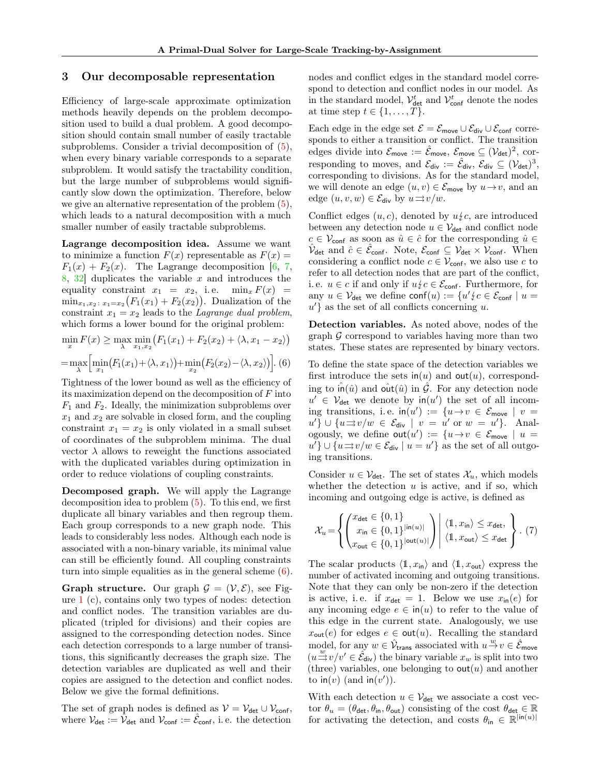### 3 Our decomposable representation

Efficiency of large-scale approximate optimization methods heavily depends on the problem decomposition used to build a dual problem. A good decomposition should contain small number of easily tractable subproblems. Consider a trivial decomposition of [\(5\)](#page-2-3), when every binary variable corresponds to a separate subproblem. It would satisfy the tractability condition, but the large number of subproblems would significantly slow down the optimization. Therefore, below we give an alternative representation of the problem [\(5\)](#page-2-3), which leads to a natural decomposition with a much smaller number of easily tractable subproblems.

Lagrange decomposition idea. Assume we want to minimize a function  $F(x)$  representable as  $F(x) =$  $F_1(x) + F_2(x)$ . The Lagrange decomposition [\[6,](#page-8-16) [7,](#page-8-17)  $8, 32$  $8, 32$  duplicates the variable x and introduces the equality constraint  $x_1 = x_2$ , i.e.  $\min_x F(x) =$  $\min_{x_1, x_2 \colon x_1 = x_2} (F_1(x_1) + F_2(x_2))$ . Dualization of the constraint  $x_1 = x_2$  leads to the *Lagrange dual problem*, which forms a lower bound for the original problem:

$$
\min_{x} F(x) \ge \max_{\lambda} \min_{x_1, x_2} \left( F_1(x_1) + F_2(x_2) + \langle \lambda, x_1 - x_2 \rangle \right)
$$

$$
= \max_{\lambda} \left[ \min_{x_1} \left( F_1(x_1) + \langle \lambda, x_1 \rangle \right) + \min_{x_2} \left( F_2(x_2) - \langle \lambda, x_2 \rangle \right) \right].
$$
 (6)

Tightness of the lower bound as well as the efficiency of its maximization depend on the decomposition of  $F$  into  $F_1$  and  $F_2$ . Ideally, the minimization subproblems over  $x_1$  and  $x_2$  are solvable in closed form, and the coupling constraint  $x_1 = x_2$  is only violated in a small subset of coordinates of the subproblem minima. The dual vector  $\lambda$  allows to reweight the functions associated with the duplicated variables during optimization in order to reduce violations of coupling constraints.

Decomposed graph. We will apply the Lagrange decomposition idea to problem [\(5\)](#page-2-3). To this end, we first duplicate all binary variables and then regroup them. Each group corresponds to a new graph node. This leads to considerably less nodes. Although each node is associated with a non-binary variable, its minimal value can still be efficiently found. All coupling constraints turn into simple equalities as in the general scheme [\(6\)](#page-3-0).

**Graph structure.** Our graph  $\mathcal{G} = (\mathcal{V}, \mathcal{E})$ , see Figure [1](#page-2-0) (c), contains only two types of nodes: detection and conflict nodes. The transition variables are duplicated (tripled for divisions) and their copies are assigned to the corresponding detection nodes. Since each detection corresponds to a large number of transitions, this significantly decreases the graph size. The detection variables are duplicated as well and their copies are assigned to the detection and conflict nodes. Below we give the formal definitions.

The set of graph nodes is defined as  $V = V_{\text{det}} \cup V_{\text{conf}}$ , where  $V_{\text{det}} := \hat{V}_{\text{det}}$  and  $V_{\text{conf}} := \hat{\mathcal{E}}_{\text{conf}}$ , i.e. the detection nodes and conflict edges in the standard model correspond to detection and conflict nodes in our model. As in the standard model,  $\mathcal{V}^t_{\text{det}}$  and  $\mathcal{V}^t_{\text{conf}}$  denote the nodes at time step  $t \in \{1, \ldots, T\}$ .

Each edge in the edge set  $\mathcal{E} = \mathcal{E}_{\text{move}} \cup \mathcal{E}_{\text{div}} \cup \mathcal{E}_{\text{conf}}$  corresponds to either a transition or conflict. The transition edges divide into  $\mathcal{E}_{\text{move}} := \hat{\mathcal{E}}_{\text{move}}, \ \mathcal{E}_{\text{move}} \subseteq (\mathcal{V}_{\text{det}})^2, \ \text{cor-}$ responding to moves, and  $\mathcal{E}_{div} := \hat{\mathcal{E}}_{div}, \, \mathcal{E}_{div} \subseteq (\mathcal{V}_{det})^3,$ corresponding to divisions. As for the standard model, we will denote an edge  $(u, v) \in \mathcal{E}_{\text{move}}$  by  $u \to v$ , and an edge  $(u, v, w) \in \mathcal{E}_{div}$  by  $u \rightrightarrows v/w$ .

Conflict edges  $(u, c)$ , denoted by  $u \nless c$ , are introduced between any detection node  $u \in V_{\text{det}}$  and conflict node  $c \in \mathcal{V}_{\text{conf}}$  as soon as  $\hat{u} \in \hat{c}$  for the corresponding  $\hat{u} \in$  $\hat{\mathcal{V}}_{\mathsf{det}}$  and  $\hat{c} \in \hat{\mathcal{E}}_{\mathsf{conf}}$ . Note,  $\mathcal{E}_{\mathsf{conf}} \subseteq \mathcal{V}_{\mathsf{det}} \times \hat{\mathcal{V}}_{\mathsf{conf}}$ . When considering a conflict node  $c \in \mathcal{V}_{\text{conf}}$ , we also use c to refer to all detection nodes that are part of the conflict, i. e.  $u \in c$  if and only if  $u \nless c \in \mathcal{E}_{\text{conf}}$ . Furthermore, for any  $u \in V_{\text{det}}$  we define  $\text{conf}(u) := \{u' \nmid c \in \mathcal{E}_{\text{conf}} \mid u =$  $u'$ } as the set of all conflicts concerning u.

Detection variables. As noted above, nodes of the graph  $\mathcal G$  correspond to variables having more than two states. These states are represented by binary vectors.

<span id="page-3-0"></span>To define the state space of the detection variables we first introduce the sets  $\mathsf{in}(u)$  and  $\mathsf{out}(u)$ , corresponding to  $\hat{\mathsf{in}}(\hat{u})$  and  $\hat{\mathsf{out}}(\hat{u})$  in  $\hat{\mathcal{G}}$ . For any detection node  $u' \in V_{\text{det}}$  we denote by  $\text{in}(u')$  the set of all incoming transitions, i.e.  $\text{in}(u') := \{u \to v \in \mathcal{E}_{\text{move}} \mid v =$  $u'\}\cup\{u\Rightarrow v/w\in\mathcal{E}_{\text{div}}\,\,\big|\,\,v\,=\,u'\text{ or }w\,=\,u'\}.$  Analogously, we define  $\textsf{out}(u') := \{u \to v \in \mathcal{E}_{\textsf{move}} \mid u =$  $u'$ }  $\cup$  { $u \Rightarrow v/w \in \mathcal{E}_{div}$  |  $u = u'$ } as the set of all outgoing transitions.

Consider  $u \in \mathcal{V}_{\text{det}}$ . The set of states  $\mathcal{X}_u$ , which models whether the detection  $u$  is active, and if so, which incoming and outgoing edge is active, is defined as

<span id="page-3-1"></span>
$$
\mathcal{X}_{u} = \left\{ \begin{pmatrix} x_{\text{det}} \in \{0, 1\} \\ x_{\text{in}} \in \{0, 1\}^{|\text{in}(u)|} \\ x_{\text{out}} \in \{0, 1\}^{|\text{out}(u)|} \end{pmatrix} \middle| \begin{array}{l} \langle \mathbb{1}, x_{\text{in}} \rangle \leq x_{\text{det}}, \\ \langle \mathbb{1}, x_{\text{out}} \rangle \leq x_{\text{det}} \end{array} \right\}.
$$
 (7)

The scalar products  $\langle 1, x_{\text{in}} \rangle$  and  $\langle 1, x_{\text{out}} \rangle$  express the number of activated incoming and outgoing transitions. Note that they can only be non-zero if the detection is active, i.e. if  $x_{\text{det}} = 1$ . Below we use  $x_{\text{in}}(e)$  for any incoming edge  $e \in \text{in}(u)$  to refer to the value of this edge in the current state. Analogously, we use  $x_{\text{out}}(e)$  for edges  $e \in \text{out}(u)$ . Recalling the standard model, for any  $w \in \hat{\mathcal{V}}_{\text{trans}}$  associated with  $u \stackrel{w}{\rightarrow} v \in \hat{\mathcal{E}}_{\text{move}}$  $(u \stackrel{w}{\Rightarrow} v/v' \in \hat{\mathcal{E}}_{div})$  the binary variable  $x_w$  is split into two (three) variables, one belonging to  $\text{out}(u)$  and another to  $\mathsf{in}(v)$  (and  $\mathsf{in}(v')$ ).

With each detection  $u \in \mathcal{V}_{\text{det}}$  we associate a cost vector  $\theta_u = (\theta_{\det}, \theta_{\text{in}}, \theta_{\text{out}})$  consisting of the cost  $\theta_{\det} \in \mathbb{R}$ for activating the detection, and costs  $\theta_{\text{in}} \in \mathbb{R}^{|\text{in}(u)|}$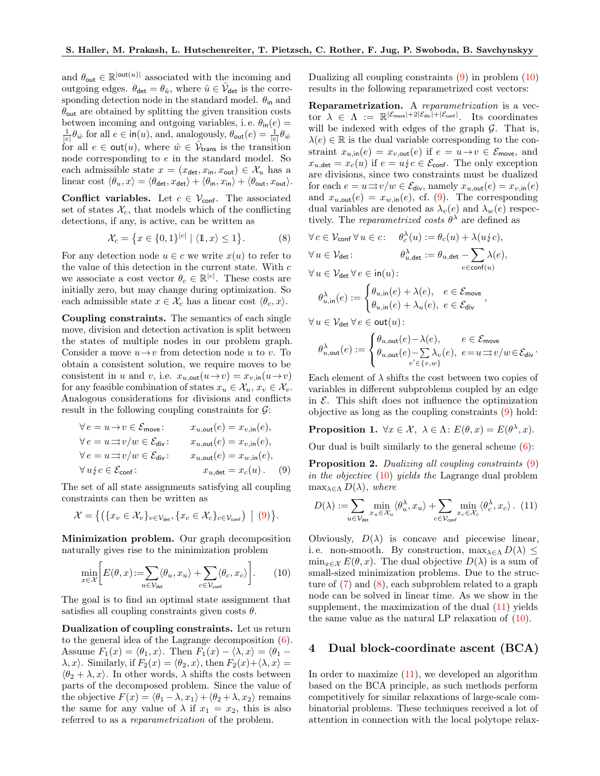and  $\theta_{\text{out}} \in \mathbb{R}^{|\text{out}(u)|}$  associated with the incoming and outgoing edges.  $\theta_{\det} = \theta_{\hat{u}}$ , where  $\hat{u} \in \hat{\mathcal{V}}_{\det}$  is the corresponding detection node in the standard model.  $\theta_{\text{in}}$  and  $\theta_{\text{out}}$  are obtained by splitting the given transition costs between incoming and outgoing variables, i.e.  $\theta_{\text{in}}(e) =$  $\frac{1}{|e|} \theta_{\hat{w}}$  for all  $e \in \mathsf{in}(u)$ , and, analogously,  $\theta_{\mathsf{out}}(e) = \frac{1}{|e|} \theta_{\hat{w}}$ for all  $e \in \text{out}(u)$ , where  $\hat{w} \in \hat{\mathcal{V}}_{\text{trans}}$  is the transition node corresponding to e in the standard model. So each admissible state  $x = (x_{\text{det}}, x_{\text{in}}, x_{\text{out}}) \in \mathcal{X}_u$  has a linear cost  $\langle \theta_u, x \rangle = \langle \theta_{\det}, x_{\det} \rangle + \langle \theta_{\text{in}}, x_{\text{in}} \rangle + \langle \theta_{\text{out}}, x_{\text{out}} \rangle.$ 

Conflict variables. Let  $c \in V_{\text{conf}}$ . The associated set of states  $\mathcal{X}_c$ , that models which of the conflicting detections, if any, is active, can be written as

$$
\mathcal{X}_c = \left\{ x \in \{0, 1\}^{|c|} \mid \langle \mathbb{1}, x \rangle \le 1 \right\}.
$$
 (8)

For any detection node  $u \in c$  we write  $x(u)$  to refer to the value of this detection in the current state. With  $c$ we associate a cost vector  $\theta_c \in \mathbb{R}^{|c|}$ . These costs are initially zero, but may change during optimization. So each admissible state  $x \in \mathcal{X}_c$  has a linear cost  $\langle \theta_c, x \rangle$ .

Coupling constraints. The semantics of each single move, division and detection activation is split between the states of multiple nodes in our problem graph. Consider a move  $u \rightarrow v$  from detection node u to v. To obtain a consistent solution, we require moves to be consistent in u and v, i.e.  $x_{u, \text{out}}(u \to v) = x_{v, \text{in}}(u \to v)$ for any feasible combination of states  $x_u \in \mathcal{X}_u, x_v \in \mathcal{X}_v$ . Analogous considerations for divisions and conflicts result in the following coupling constraints for  $\mathcal{G}$ :

$$
\forall e = u \rightarrow v \in \mathcal{E}_{\text{move}}; \qquad x_{u, \text{out}}(e) = x_{v, \text{in}}(e),
$$
  

$$
\forall e = u \Rightarrow v/w \in \mathcal{E}_{\text{div}}; \qquad x_{u, \text{out}}(e) = x_{v, \text{in}}(e),
$$
  

$$
\forall e = u \Rightarrow v/w \in \mathcal{E}_{\text{div}}; \qquad x_{u, \text{out}}(e) = x_{w, \text{in}}(e),
$$
  

$$
\forall u \& c \in \mathcal{E}_{\text{conf}}; \qquad x_{u, \text{det}} = x_c(u). \qquad (9)
$$

The set of all state assignments satisfying all coupling constraints can then be written as

$$
\mathcal{X} = \big\{ \big( \{x_v \in \mathcal{X}_v\}_{v \in \mathcal{V}_{\text{det}}}, \{x_c \in \mathcal{X}_c\}_{c \in \mathcal{V}_{\text{conf}} } \big) \mid (9) \big\}.
$$

Minimization problem. Our graph decomposition naturally gives rise to the minimization problem

<span id="page-4-1"></span>
$$
\min_{x \in \mathcal{X}} \bigg[ E(\theta, x) \! := \! \sum_{u \in \mathcal{V}_{\text{det}}} \langle \theta_u, x_u \rangle + \sum_{c \in \mathcal{V}_{\text{conf}}} \langle \theta_c, x_c \rangle \bigg]. \tag{10}
$$

The goal is to find an optimal state assignment that satisfies all coupling constraints given costs  $\theta$ .

Dualization of coupling constraints. Let us return to the general idea of the Lagrange decomposition [\(6\)](#page-3-0). Assume  $F_1(x) = \langle \theta_1, x \rangle$ . Then  $F_1(x) - \langle \lambda, x \rangle = \langle \theta_1 - \rangle$  $\lambda, x$ . Similarly, if  $F_2(x) = \langle \theta_2, x \rangle$ , then  $F_2(x)+\langle \lambda, x \rangle =$  $\langle \theta_2 + \lambda, x \rangle$ . In other words,  $\lambda$  shifts the costs between parts of the decomposed problem. Since the value of the objective  $F(x) = \langle \theta_1 - \lambda, x_1 \rangle + \langle \theta_2 + \lambda, x_2 \rangle$  remains the same for any value of  $\lambda$  if  $x_1 = x_2$ , this is also referred to as a *reparametrization* of the problem.

Dualizing all coupling constraints [\(9\)](#page-4-0) in problem [\(10\)](#page-4-1) results in the following reparametrized cost vectors:

Reparametrization. A *reparametrization* is a vec- $\text{tor } \lambda \in \Lambda \text{ := } \mathbb{R}^{|\mathcal{E}_{\text{move}}|+2|\mathcal{E}_{\text{div}}|+|\mathcal{E}_{\text{conf}}|}$ . Its coordinates will be indexed with edges of the graph  $\mathcal{G}$ . That is,  $\lambda(e) \in \mathbb{R}$  is the dual variable corresponding to the constraint  $x_{u,\text{in}}(e) = x_{v,\text{out}}(e)$  if  $e = u \rightarrow v \in \mathcal{E}_{\text{move}}$ , and  $x_{u,\text{det}} = x_c(u)$  if  $e = u/c \in \mathcal{E}_{\text{conf}}$ . The only exception are divisions, since two constraints must be dualized for each  $e = u \implies v/w \in \mathcal{E}_{div}$ , namely  $x_{u,out}(e) = x_{v,in}(e)$ and  $x_{u,\text{out}}(e) = x_{w,\text{in}}(e)$ , cf. [\(9\)](#page-4-0). The corresponding dual variables are denoted as  $\lambda_v(e)$  and  $\lambda_w(e)$  respectively. The *reparametrized costs*  $\theta^{\lambda}$  are defined as

λ

,

<span id="page-4-2"></span>
$$
\forall c \in \mathcal{V}_{\text{conf}} \forall u \in c: \quad \theta_c^{\lambda}(u) := \theta_c(u) + \lambda(u_c^{\lambda}c),
$$
  

$$
\forall u \in \mathcal{V}_{\text{det}}: \quad \theta_{u, \text{det}}^{\lambda} := \theta_{u, \text{det}} - \sum_{e \in \text{conf}(u)} \lambda(e),
$$
  

$$
\forall u \in \mathcal{V}_{\text{det}} \forall e \in \text{in}(u):
$$

$$
\theta_{u, \text{in}}^{\lambda}(e) := \begin{cases} \theta_{u, \text{in}}(e) + \lambda(e), & e \in \mathcal{E}_{\text{move}} \\ \theta_{u, \text{in}}(e) + \lambda_u(e), & e \in \mathcal{E}_{\text{div}} \end{cases}
$$

 $\forall u \in \mathcal{V}_{\text{det}} \forall e \in \text{out}(u)$ :

$$
\theta_{u,\mathrm{out}}^\lambda(e) := \begin{cases} \theta_{u,\mathrm{out}}(e) - \lambda(e), & e \in \mathcal{E}_{\mathrm{move}} \\ \theta_{u,\mathrm{out}}(e) - \sum_{v' \in \{v,w\}} \lambda_v(e), & e = u \Rightarrow v/w \in \mathcal{E}_{\mathrm{div}}. \end{cases}
$$

Each element of  $\lambda$  shifts the cost between two copies of variables in different subproblems coupled by an edge in  $\mathcal{E}$ . This shift does not influence the optimization objective as long as the coupling constraints [\(9\)](#page-4-0) hold:

**Proposition 1.**  $\forall x \in \mathcal{X}, \ \lambda \in \Lambda$ :  $E(\theta, x) = E(\theta^{\lambda}, x)$ .

Our dual is built similarly to the general scheme  $(6)$ :

<span id="page-4-0"></span>Proposition 2. *Dualizing all coupling constraints* [\(9\)](#page-4-0) *in the objective* [\(10\)](#page-4-1) *yields the* Lagrange dual problem  $\max_{\lambda \in \Lambda} D(\lambda)$ *, where* 

<span id="page-4-3"></span>
$$
D(\lambda) := \sum_{u \in \mathcal{V}_{\text{det}}} \min_{x_u \in \mathcal{X}_u} \langle \theta_u^{\lambda}, x_u \rangle + \sum_{c \in \mathcal{V}_{\text{conf}}} \min_{x_c \in \mathcal{X}_c} \langle \theta_c^{\lambda}, x_c \rangle. (11)
$$

Obviously,  $D(\lambda)$  is concave and piecewise linear, i.e. non-smooth. By construction,  $\max_{\lambda \in \Lambda} D(\lambda) \leq$  $\min_{x \in \mathcal{X}} E(\theta, x)$ . The dual objective  $D(\lambda)$  is a sum of small-sized minimization problems. Due to the structure of [\(7\)](#page-3-1) and [\(8\)](#page-4-2), each subproblem related to a graph node can be solved in linear time. As we show in the supplement, the maximization of the dual  $(11)$  yields the same value as the natural LP relaxation of [\(10\)](#page-4-1).

### 4 Dual block-coordinate ascent (BCA)

In order to maximize [\(11\)](#page-4-3), we developed an algorithm based on the BCA principle, as such methods perform competitively for similar relaxations of large-scale combinatorial problems. These techniques received a lot of attention in connection with the local polytope relax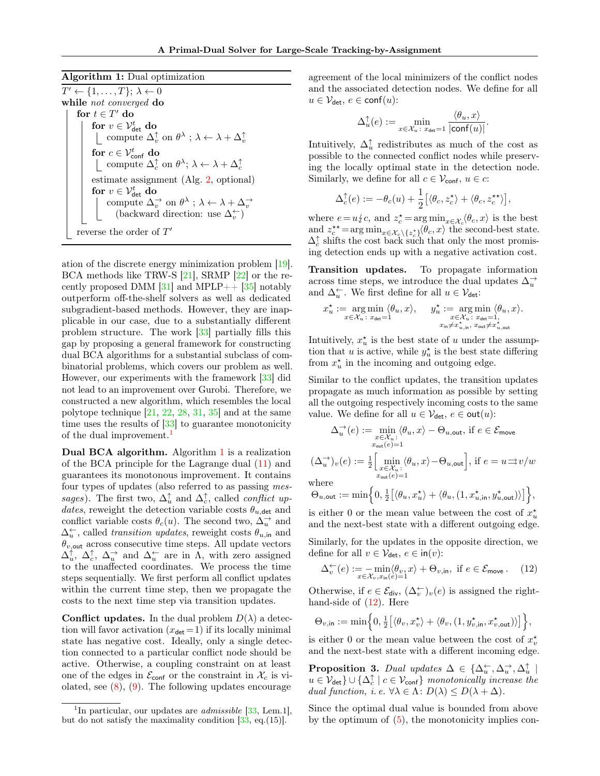Algorithm 1: Dual optimization

 $T' \leftarrow \{1, \ldots, T\}; \lambda \leftarrow 0$ while *not converged* do for  $t \in T'$  do for  $v \in \mathcal{V}^t_\text{det}$  do compute  $\Delta_v^{\uparrow}$  on  $\theta^{\lambda}$ ;  $\lambda \leftarrow \lambda + \Delta_v^{\uparrow}$ for  $c \in {\mathcal V}^t_\text{conf}$  do compute  $\Delta_c^{\uparrow}$  on  $\theta^{\lambda}$ ;  $\lambda \leftarrow \lambda + \Delta_c^{\uparrow}$ estimate assignment (Alg. [2,](#page-6-0) optional) for  $v \in \mathcal{V}^t_\text{det}$  do compute  $\Delta_v^{\rightarrow}$  on  $\theta^{\lambda}$ ;  $\lambda \leftarrow \lambda + \Delta_v^{\rightarrow}$ <br>(backward direction: use  $\Delta_v^{\leftarrow}$ ) reverse the order of  $T'$ 

<span id="page-5-1"></span>ation of the discrete energy minimization problem [\[19\]](#page-8-15). BCA methods like TRW-S [\[21\]](#page-9-14), SRMP [\[22\]](#page-9-15) or the recently proposed DMM  $[31]$  and MPLP++  $[35]$  notably outperform off-the-shelf solvers as well as dedicated subgradient-based methods. However, they are inapplicable in our case, due to a substantially different problem structure. The work [\[33\]](#page-9-18) partially fills this gap by proposing a general framework for constructing dual BCA algorithms for a substantial subclass of combinatorial problems, which covers our problem as well. However, our experiments with the framework [\[33\]](#page-9-18) did not lead to an improvement over Gurobi. Therefore, we constructed a new algorithm, which resembles the local polytope technique [\[21,](#page-9-14) [22,](#page-9-15) [28,](#page-9-19) [31,](#page-9-16) [35\]](#page-9-17) and at the same time uses the results of [\[33\]](#page-9-18) to guarantee monotonicity of the dual improvement.<sup>[1](#page-5-0)</sup>

Dual BCA algorithm. Algorithm [1](#page-5-1) is a realization of the BCA principle for the Lagrange dual [\(11\)](#page-4-3) and guarantees its monotonous improvement. It contains four types of updates (also referred to as passing *messages*). The first two,  $\Delta_u^{\uparrow}$  and  $\Delta_c^{\uparrow}$ , called *conflict updates*, reweight the detection variable costs  $\theta_{u,\text{det}}$  and conflict variable costs  $\theta_c(u)$ . The second two,  $\Delta_u^{\rightarrow}$  and  $\Delta_u^{\leftarrow}$ , called *transition updates*, reweight costs  $\theta_{u,\text{in}}$  and  $\theta_{v, \text{out}}$  across consecutive time steps. All update vectors  $\Delta_u^{\uparrow}$ ,  $\Delta_c^{\uparrow}$ ,  $\Delta_u^{\rightarrow}$  and  $\Delta_u^{\leftarrow}$  are in  $\Lambda$ , with zero assigned to the unaffected coordinates. We process the time steps sequentially. We first perform all conflict updates within the current time step, then we propagate the costs to the next time step via transition updates.

**Conflict updates.** In the dual problem  $D(\lambda)$  a detection will favor activation  $(x_{\text{det}} = 1)$  if its locally minimal state has negative cost. Ideally, only a single detection connected to a particular conflict node should be active. Otherwise, a coupling constraint on at least one of the edges in  $\mathcal{E}_{\text{conf}}$  or the constraint in  $\mathcal{X}_c$  is violated, see  $(8)$ ,  $(9)$ . The following updates encourage

agreement of the local minimizers of the conflict nodes and the associated detection nodes. We define for all  $u \in \mathcal{V}_{\text{det}}, e \in \text{conf}(u)$ :

$$
\Delta_u^{\uparrow}(e) := \min_{x \in \mathcal{X}_u \colon x_{\text{det}} = 1} \frac{\langle \theta_u, x \rangle}{|\text{conf}(u)|}.
$$

Intuitively,  $\Delta_u^{\uparrow}$  redistributes as much of the cost as possible to the connected conflict nodes while preserving the locally optimal state in the detection node. Similarly, we define for all  $c \in \mathcal{V}_{\text{conf}}$ ,  $u \in c$ :

$$
\Delta_c^{\uparrow}(e) := -\theta_c(u) + \frac{1}{2} \big[ \langle \theta_c, z_c^{\star} \rangle + \langle \theta_c, z_c^{\star \star} \rangle \big],
$$

where  $e = u \xi c$ , and  $z_c^* = \arg \min_{x \in \mathcal{X}_c} \langle \theta_c, x \rangle$  is the best and  $z_c^{\star\star} = \arg \min_{x \in \mathcal{X}_c \backslash \{z_c^{\star}\}} \langle \theta_c, x \rangle$  the second-best state.  $\Delta_c^{\uparrow}$  shifts the cost back such that only the most promising detection ends up with a negative activation cost.

Transition updates. To propagate information across time steps, we introduce the dual updates  $\Delta_u^{\rightarrow}$ and  $\Delta_u^{\leftarrow}$ . We first define for all  $u \in \mathcal{V}_{\text{det}}$ :

$$
x_u^\star:=\mathop{\arg\min}\limits_{x\in\mathcal{X}_u\colon x_\text{det}=1}\langle\theta_u,x\rangle,\quad \ y_u^\star:=\mathop{\arg\min}\limits_{\substack{x\in\mathcal{X}_u\colon x_\text{det}=1,\\ x_\text{in}\neq x_{u,\text{in}}^\star,\ x_\text{out}\neq x_{u,\text{out}}^\star}}\langle\theta_u,x\rangle.
$$

Intuitively,  $x_u^*$  is the best state of u under the assumption that u is active, while  $y_u^*$  is the best state differing from  $x_u^*$  in the incoming and outgoing edge.

Similar to the conflict updates, the transition updates propagate as much information as possible by setting all the outgoing respectively incoming costs to the same value. We define for all  $u \in \mathcal{V}_{\text{det}}$ ,  $e \in \text{out}(u)$ :

$$
\Delta_u^{\rightarrow}(e) := \min_{\substack{x \in \mathcal{X}_u : \\ x_{\text{out}}(e) = 1}} \langle \theta_u, x \rangle - \Theta_{u, \text{out}}, \text{ if } e \in \mathcal{E}_{\text{move}}
$$

$$
(\Delta_u^{\rightarrow})_v(e) := \frac{1}{2} \left[ \min_{\substack{x \in \mathcal{X}_u : \\ x_{\text{out}}(e) = 1}} \langle \theta_u, x \rangle - \Theta_{u, \text{out}} \right], \text{ if } e = u \Rightarrow v/w
$$

where

$$
\Theta_{u,\text{out}} := \min\Big\{0,\tfrac{1}{2}\big[\langle \theta_u,x_u^\star\rangle + \langle \theta_u,(1,x_{u,\text{in}}^\star,y_{u,\text{out}}^\star)\rangle\big]\Big\},
$$

is either 0 or the mean value between the cost of  $x_u^*$ and the next-best state with a different outgoing edge.

Similarly, for the updates in the opposite direction, we define for all  $v \in \mathcal{V}_{\text{det}}$ ,  $e \in \text{in}(v)$ :

<span id="page-5-2"></span>
$$
\Delta_v^{\leftarrow}(e) := -\min_{x \in \mathcal{X}_v, x_{\text{in}}(e) = 1} \langle \theta_v, x \rangle + \Theta_{v, \text{in}}, \text{ if } e \in \mathcal{E}_{\text{move}}.
$$
 (12)

Otherwise, if  $e \in \mathcal{E}_{div}$ ,  $(\Delta_v^{\leftarrow})_v(e)$  is assigned the righthand-side of [\(12\)](#page-5-2). Here

$$
\Theta_{v,\text{in}} := \min\Bigl\{0, \tfrac12 \bigl[\langle \theta_v, x_v^\star \rangle + \langle \theta_v, (1, y_{v,\text{in}}^\star, x_{v,\text{out}}^\star) \rangle \bigr] \Bigr\},
$$

is either 0 or the mean value between the cost of  $x_v^*$ and the next-best state with a different incoming edge.

**Proposition 3.** *Dual updates*  $\Delta \in \{\Delta^{\leftarrow}_u, \Delta^{\rightarrow}_u, \Delta^{\uparrow}_u \}$  $u \in \mathcal{V}_{\text{det}} \} \cup \{ \Delta_c^{\uparrow} \mid c \in \mathcal{V}_{\text{conf}} \}$  *monotonically increase the dual function, i. e.*  $\forall \lambda \in \Lambda : D(\lambda) \leq D(\lambda + \Delta)$ *.* 

Since the optimal dual value is bounded from above by the optimum of  $(5)$ , the monotonicity implies con-

<span id="page-5-0"></span><sup>&</sup>lt;sup>1</sup>In particular, our updates are *admissible* [\[33,](#page-9-18) Lem.1], but do not satisfy the maximality condition  $[33, \text{ eq.}(15)].$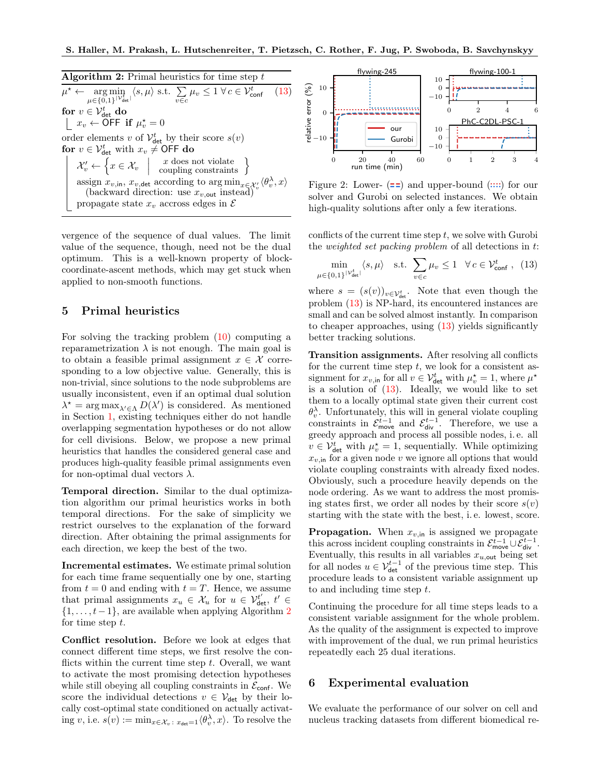S. Haller, M. Prakash, L. Hutschenreiter, T. Pietzsch, C. Rother, F. Jug, P. Swoboda, B. Savchynskyy

Algorithm 2: Primal heuristics for time step  $t$  $\mu$  $\star$  ← arg min<br>  $\mu \in \{0,1\}^{|\mathcal{V}_{\text{det}}^t|}$  $\langle s, \mu \rangle$  s.t.  $\sum_{v \in c} \mu_v \leq 1 \ \forall \, c \in \mathcal{V}_{\text{conf}}^t$  [\(13\)](#page-6-1) for  $v \in \mathcal{V}^t_\text{det}$  do  $x_v \leftarrow \overline{O}$ FF if  $\mu_v^* = 0$ order elements v of  $\mathcal{V}^t_{\text{det}}$  by their score  $s(v)$ for  $v \in \mathcal{V}_{\text{det}}^t$  with  $x_v \neq \text{OFF}$  do  $\mathcal{X}'_v \leftarrow$  $\big\{x\in\mathcal{X}_v$  $\overline{\phantom{a}}$  $\overline{\phantom{a}}$  $\overline{\phantom{a}}$  $x$  does not violate  $\Big\}$ assign  $x_{v,\text{in}}$ ,  $x_{v,\text{det}}$  according to  $\arg\min_{x \in \mathcal{X}'_v} \langle \theta_v^{\lambda}, x \rangle$ (backward direction: use  $x_{v,\text{out}}$  instead) propagate state  $x_v$  accross edges in  $\mathcal E$ 

<span id="page-6-0"></span>vergence of the sequence of dual values. The limit value of the sequence, though, need not be the dual optimum. This is a well-known property of blockcoordinate-ascent methods, which may get stuck when applied to non-smooth functions.

## 5 Primal heuristics

For solving the tracking problem [\(10\)](#page-4-1) computing a reparametrization  $\lambda$  is not enough. The main goal is to obtain a feasible primal assignment  $x \in \mathcal{X}$  corresponding to a low objective value. Generally, this is non-trivial, since solutions to the node subproblems are usually inconsistent, even if an optimal dual solution  $\lambda^* = \arg \max_{\lambda' \in \Lambda} D(\lambda')$  is considered. As mentioned in Section [1,](#page-0-0) existing techniques either do not handle overlapping segmentation hypotheses or do not allow for cell divisions. Below, we propose a new primal heuristics that handles the considered general case and produces high-quality feasible primal assignments even for non-optimal dual vectors  $\lambda$ .

Temporal direction. Similar to the dual optimization algorithm our primal heuristics works in both temporal directions. For the sake of simplicity we restrict ourselves to the explanation of the forward direction. After obtaining the primal assignments for each direction, we keep the best of the two.

Incremental estimates. We estimate primal solution for each time frame sequentially one by one, starting from  $t = 0$  and ending with  $t = T$ . Hence, we assume that primal assignments  $x_u \in \mathcal{X}_u$  for  $u \in \mathcal{V}_{\text{det}}^{t'}$ ,  $t' \in$  $\{1, \ldots, t-1\}$ , are available when applying Algorithm [2](#page-6-0) for time step t.

Conflict resolution. Before we look at edges that connect different time steps, we first resolve the conflicts within the current time step  $t$ . Overall, we want to activate the most promising detection hypotheses while still obeying all coupling constraints in  $\mathcal{E}_{\text{conf}}$ . We score the individual detections  $v \in V_{\text{det}}$  by their locally cost-optimal state conditioned on actually activating v, i.e.  $s(v) := \min_{x \in \mathcal{X}_v} \sum_{x_{\text{det}}=1} \langle \theta_v^{\lambda}, x \rangle$ . To resolve the

<span id="page-6-2"></span>

Figure 2: Lower- $(==)$  and upper-bound  $(....)$  for our solver and Gurobi on selected instances. We obtain high-quality solutions after only a few iterations.

conflicts of the current time step  $t$ , we solve with Gurobi the *weighted set packing problem* of all detections in t:

<span id="page-6-1"></span>
$$
\min_{\mu \in \{0,1\}^{|\mathcal{V}_{\text{det}}^t|}} \langle s, \mu \rangle \quad \text{s.t.} \quad \sum_{v \in c} \mu_v \le 1 \quad \forall c \in \mathcal{V}_{\text{conf}}^t \,, \tag{13}
$$

where  $s = (s(v))_{v \in V_{\text{det}}^t}$ . Note that even though the problem [\(13\)](#page-6-1) is NP-hard, its encountered instances are small and can be solved almost instantly. In comparison to cheaper approaches, using [\(13\)](#page-6-1) yields significantly better tracking solutions.

Transition assignments. After resolving all conflicts for the current time step  $t$ , we look for a consistent assignment for  $x_{v,\text{in}}$  for all  $v \in \mathcal{V}_{\text{det}}^t$  with  $\mu_v^* = 1$ , where  $\mu^*$ is a solution of  $(13)$ . Ideally, we would like to set them to a locally optimal state given their current cost  $\theta_v^{\lambda}$ . Unfortunately, this will in general violate coupling constraints in  $\mathcal{E}_{\text{move}}^{t-1}$  and  $\mathcal{E}_{\text{div}}^{t-1}$ . Therefore, we use a greedy approach and process all possible nodes, i. e. all  $v \in \mathcal{V}_{\text{det}}^t$  with  $\mu_v^* = 1$ , sequentially. While optimizing  $x_{v,in}$  for a given node v we ignore all options that would violate coupling constraints with already fixed nodes. Obviously, such a procedure heavily depends on the node ordering. As we want to address the most promising states first, we order all nodes by their score  $s(v)$ starting with the state with the best, i. e. lowest, score.

**Propagation.** When  $x_{v,in}$  is assigned we propagate this across incident coupling constraints in  $\mathcal{E}_{\text{move}}^{t-1} \cup \mathcal{E}_{\text{div}}^{t-1}$ . Eventually, this results in all variables  $x_{u, \text{out}}$  being set for all nodes  $u \in V_{\text{det}}^{t-1}$  of the previous time step. This procedure leads to a consistent variable assignment up to and including time step t.

Continuing the procedure for all time steps leads to a consistent variable assignment for the whole problem. As the quality of the assignment is expected to improve with improvement of the dual, we run primal heuristics repeatedly each 25 dual iterations.

## 6 Experimental evaluation

We evaluate the performance of our solver on cell and nucleus tracking datasets from different biomedical re-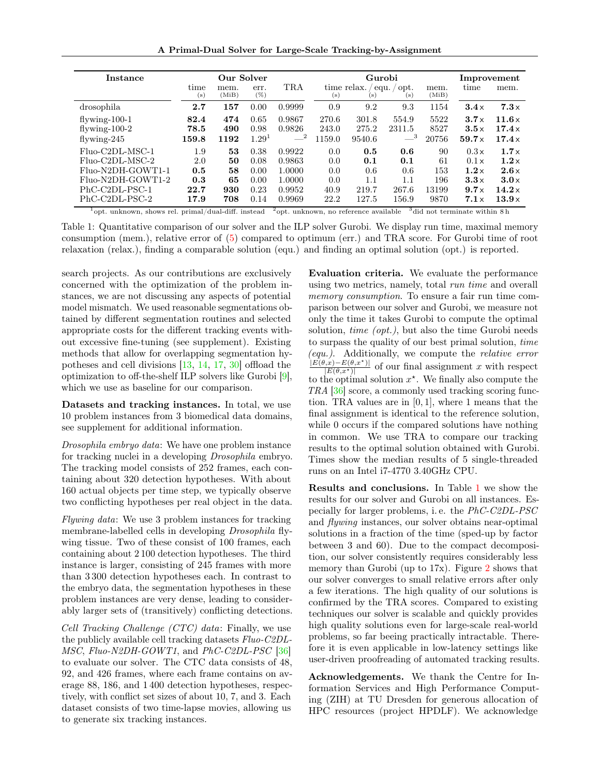A Primal-Dual Solver for Large-Scale Tracking-by-Assignment

<span id="page-7-0"></span>

| Instance          | Our Solver             |               |                |             | Gurobi |                    |                                |               | Improvement  |              |
|-------------------|------------------------|---------------|----------------|-------------|--------|--------------------|--------------------------------|---------------|--------------|--------------|
|                   | time<br>$(\mathrm{s})$ | mem.<br>(MiB) | err.<br>$(\%)$ | TRA         | (s)    | time relax.<br>(s) | opt.<br>equ.<br>$(\mathbf{s})$ | mem.<br>(MiB) | time         | mem.         |
| drosophila        | 2.7                    | 157           | 0.00           | 0.9999      | 0.9    | 9.2                | 9.3                            | 1154          | $3.4\times$  | $7.3\times$  |
| $flywing-100-1$   | 82.4                   | 474           | 0.65           | 0.9867      | 270.6  | 301.8              | 554.9                          | 5522          | $3.7\times$  | 11.6x        |
| flywing- $100-2$  | 78.5                   | 490           | 0.98           | 0.9826      | 243.0  | 275.2              | 2311.5                         | 8527          | 3.5x         | $17.4\times$ |
| flywing- $245$    | 159.8                  | 1192          | $1.29^{1}$     | $-^{2}$     | 1159.0 | 9540.6             | $-$ <sup>3</sup>               | 20756         | $59.7\times$ | $17.4\times$ |
| Fluo-C2DL-MSC-1   | 1.9                    | 53            | 0.38           | 0.9922      | 0.0    | 0.5                | 0.6                            | 90            | 0.3x         | $1.7\times$  |
| Fluo-C2DL-MSC-2   | 2.0                    | 50            | 0.08           | 0.9863      | 0.0    | 0.1                | 0.1                            | 61            | 0.1x         | $1.2\times$  |
| Fluo-N2DH-GOWT1-1 | 0.5                    | 58            | 0.00           | 1.0000      | 0.0    | 0.6                | 0.6                            | 153           | $1.2\times$  | $2.6\times$  |
| Fluo-N2DH-GOWT1-2 | 0.3                    | 65            | 0.00           | 1.0000      | 0.0    | $1.1\,$            | 1.1                            | 196           | $3.3\times$  | $3.0\times$  |
| PhC-C2DL-PSC-1    | 22.7                   | 930           | 0.23           | 0.9952      | 40.9   | 219.7              | 267.6                          | 13199         | $9.7\times$  | $14.2\times$ |
| PhC-C2DL-PSC-2    | 17.9                   | 708           | 0.14           | 0.9969<br>5 | 22.2   | 127.5              | 156.9<br>$^{\circ}$            | 9870          | $7.1\times$  | $13.9\times$ |

 $1$ opt. unknown, shows rel. primal/dual-diff. instead  $2$ opt. unknown, no reference available  $3$ did not terminate within 8 h

Table 1: Quantitative comparison of our solver and the ILP solver Gurobi. We display run time, maximal memory consumption (mem.), relative error of [\(5\)](#page-2-3) compared to optimum (err.) and TRA score. For Gurobi time of root relaxation (relax.), finding a comparable solution (equ.) and finding an optimal solution (opt.) is reported.

search projects. As our contributions are exclusively concerned with the optimization of the problem instances, we are not discussing any aspects of potential model mismatch. We used reasonable segmentations obtained by different segmentation routines and selected appropriate costs for the different tracking events without excessive fine-tuning (see supplement). Existing methods that allow for overlapping segmentation hypotheses and cell divisions [\[13,](#page-8-6) [14,](#page-8-8) [17,](#page-8-7) [30\]](#page-9-9) offload the optimization to off-the-shelf ILP solvers like Gurobi [\[9\]](#page-8-13), which we use as baseline for our comparison.

Datasets and tracking instances. In total, we use 10 problem instances from 3 biomedical data domains, see supplement for additional information.

*Drosophila embryo data*: We have one problem instance for tracking nuclei in a developing *Drosophila* embryo. The tracking model consists of 252 frames, each containing about 320 detection hypotheses. With about 160 actual objects per time step, we typically observe two conflicting hypotheses per real object in the data.

*Flywing data*: We use 3 problem instances for tracking membrane-labelled cells in developing *Drosophila* flywing tissue. Two of these consist of 100 frames, each containing about 2 100 detection hypotheses. The third instance is larger, consisting of 245 frames with more than 3 300 detection hypotheses each. In contrast to the embryo data, the segmentation hypotheses in these problem instances are very dense, leading to considerably larger sets of (transitively) conflicting detections.

*Cell Tracking Challenge (CTC) data*: Finally, we use the publicly available cell tracking datasets *Fluo-C2DL-MSC*, *Fluo-N2DH-GOWT1*, and *PhC-C2DL-PSC* [\[36\]](#page-9-0) to evaluate our solver. The CTC data consists of 48, 92, and 426 frames, where each frame contains on average 88, 186, and 1 400 detection hypotheses, respectively, with conflict set sizes of about 10, 7, and 3. Each dataset consists of two time-lapse movies, allowing us to generate six tracking instances.

Evaluation criteria. We evaluate the performance using two metrics, namely, total *run time* and overall *memory consumption*. To ensure a fair run time comparison between our solver and Gurobi, we measure not only the time it takes Gurobi to compute the optimal solution, *time (opt.)*, but also the time Gurobi needs to surpass the quality of our best primal solution, *time (equ.)*. Additionally, we compute the *relative error*  $\frac{|E(\theta,x)-E(\theta,x^*)|}{|E(\theta,x^*)|}$  of our final assignment x with respect  $|E(\theta,x^{\star})|$ to the optimal solution  $x^*$ . We finally also compute the *TRA* [\[36\]](#page-9-0) score, a commonly used tracking scoring function. TRA values are in [0, 1], where 1 means that the final assignment is identical to the reference solution, while 0 occurs if the compared solutions have nothing in common. We use TRA to compare our tracking results to the optimal solution obtained with Gurobi. Times show the median results of 5 single-threaded runs on an Intel i7-4770 3.40GHz CPU.

Results and conclusions. In Table [1](#page-7-0) we show the results for our solver and Gurobi on all instances. Especially for larger problems, i. e. the *PhC-C2DL-PSC* and *flywing* instances, our solver obtains near-optimal solutions in a fraction of the time (sped-up by factor between 3 and 60). Due to the compact decomposition, our solver consistently requires considerably less memory than Gurobi (up to 17x). Figure [2](#page-6-2) shows that our solver converges to small relative errors after only a few iterations. The high quality of our solutions is confirmed by the TRA scores. Compared to existing techniques our solver is scalable and quickly provides high quality solutions even for large-scale real-world problems, so far beeing practically intractable. Therefore it is even applicable in low-latency settings like user-driven proofreading of automated tracking results.

Acknowledgements. We thank the Centre for Information Services and High Performance Computing (ZIH) at TU Dresden for generous allocation of HPC resources (project HPDLF). We acknowledge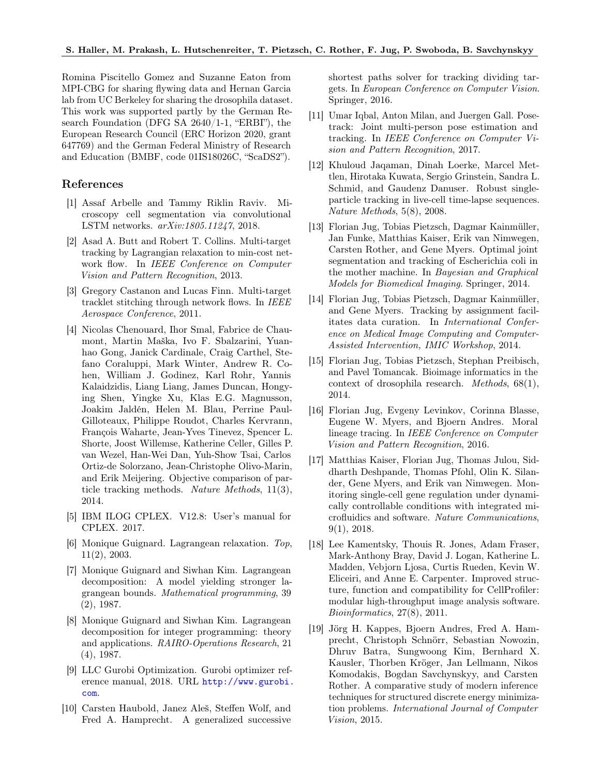Romina Piscitello Gomez and Suzanne Eaton from MPI-CBG for sharing flywing data and Hernan Garcia lab from UC Berkeley for sharing the drosophila dataset. This work was supported partly by the German Research Foundation (DFG SA 2640/1-1, "ERBI"), the European Research Council (ERC Horizon 2020, grant 647769) and the German Federal Ministry of Research and Education (BMBF, code 01IS18026C, "ScaDS2").

## References

- <span id="page-8-5"></span>[1] Assaf Arbelle and Tammy Riklin Raviv. Microscopy cell segmentation via convolutional LSTM networks. *arXiv:1805.11247*, 2018.
- <span id="page-8-11"></span>[2] Asad A. Butt and Robert T. Collins. Multi-target tracking by Lagrangian relaxation to min-cost network flow. In *IEEE Conference on Computer Vision and Pattern Recognition*, 2013.
- <span id="page-8-9"></span>[3] Gregory Castanon and Lucas Finn. Multi-target tracklet stitching through network flows. In *IEEE Aerospace Conference*, 2011.
- <span id="page-8-0"></span>[4] Nicolas Chenouard, Ihor Smal, Fabrice de Chaumont, Martin Maška, Ivo F. Sbalzarini, Yuanhao Gong, Janick Cardinale, Craig Carthel, Stefano Coraluppi, Mark Winter, Andrew R. Cohen, William J. Godinez, Karl Rohr, Yannis Kalaidzidis, Liang Liang, James Duncan, Hongying Shen, Yingke Xu, Klas E.G. Magnusson, Joakim Jaldén, Helen M. Blau, Perrine Paul-Gilloteaux, Philippe Roudot, Charles Kervrann, François Waharte, Jean-Yves Tinevez, Spencer L. Shorte, Joost Willemse, Katherine Celler, Gilles P. van Wezel, Han-Wei Dan, Yuh-Show Tsai, Carlos Ortiz-de Solorzano, Jean-Christophe Olivo-Marin, and Erik Meijering. Objective comparison of particle tracking methods. *Nature Methods*, 11(3), 2014.
- <span id="page-8-14"></span>[5] IBM ILOG CPLEX. V12.8: User's manual for CPLEX. 2017.
- <span id="page-8-16"></span>[6] Monique Guignard. Lagrangean relaxation. *Top*, 11(2), 2003.
- <span id="page-8-17"></span>[7] Monique Guignard and Siwhan Kim. Lagrangean decomposition: A model yielding stronger lagrangean bounds. *Mathematical programming*, 39 (2), 1987.
- <span id="page-8-18"></span>[8] Monique Guignard and Siwhan Kim. Lagrangean decomposition for integer programming: theory and applications. *RAIRO-Operations Research*, 21 (4), 1987.
- <span id="page-8-13"></span>[9] LLC Gurobi Optimization. Gurobi optimizer reference manual, 2018. URL [http://www.gurobi.](http://www.gurobi.com) [com](http://www.gurobi.com).
- <span id="page-8-12"></span>[10] Carsten Haubold, Janez Aleš, Steffen Wolf, and Fred A. Hamprecht. A generalized successive

shortest paths solver for tracking dividing targets. In *European Conference on Computer Vision*. Springer, 2016.

- <span id="page-8-2"></span>[11] Umar Iqbal, Anton Milan, and Juergen Gall. Posetrack: Joint multi-person pose estimation and tracking. In *IEEE Conference on Computer Vision and Pattern Recognition*, 2017.
- <span id="page-8-10"></span>[12] Khuloud Jaqaman, Dinah Loerke, Marcel Mettlen, Hirotaka Kuwata, Sergio Grinstein, Sandra L. Schmid, and Gaudenz Danuser. Robust singleparticle tracking in live-cell time-lapse sequences. *Nature Methods*, 5(8), 2008.
- <span id="page-8-6"></span>[13] Florian Jug, Tobias Pietzsch, Dagmar Kainmüller, Jan Funke, Matthias Kaiser, Erik van Nimwegen, Carsten Rother, and Gene Myers. Optimal joint segmentation and tracking of Escherichia coli in the mother machine. In *Bayesian and Graphical Models for Biomedical Imaging*. Springer, 2014.
- <span id="page-8-8"></span>[14] Florian Jug, Tobias Pietzsch, Dagmar Kainmüller, and Gene Myers. Tracking by assignment facilitates data curation. In *International Conference on Medical Image Computing and Computer-Assisted Intervention, IMIC Workshop*, 2014.
- <span id="page-8-4"></span>[15] Florian Jug, Tobias Pietzsch, Stephan Preibisch, and Pavel Tomancak. Bioimage informatics in the context of drosophila research. *Methods*, 68(1), 2014.
- <span id="page-8-3"></span>[16] Florian Jug, Evgeny Levinkov, Corinna Blasse, Eugene W. Myers, and Bjoern Andres. Moral lineage tracing. In *IEEE Conference on Computer Vision and Pattern Recognition*, 2016.
- <span id="page-8-7"></span>[17] Matthias Kaiser, Florian Jug, Thomas Julou, Siddharth Deshpande, Thomas Pfohl, Olin K. Silander, Gene Myers, and Erik van Nimwegen. Monitoring single-cell gene regulation under dynamically controllable conditions with integrated microfluidics and software. *Nature Communications*, 9(1), 2018.
- <span id="page-8-1"></span>[18] Lee Kamentsky, Thouis R. Jones, Adam Fraser, Mark-Anthony Bray, David J. Logan, Katherine L. Madden, Vebjorn Ljosa, Curtis Rueden, Kevin W. Eliceiri, and Anne E. Carpenter. Improved structure, function and compatibility for CellProfiler: modular high-throughput image analysis software. *Bioinformatics*, 27(8), 2011.
- <span id="page-8-15"></span>[19] Jörg H. Kappes, Bjoern Andres, Fred A. Hamprecht, Christoph Schnörr, Sebastian Nowozin, Dhruv Batra, Sungwoong Kim, Bernhard X. Kausler, Thorben Kröger, Jan Lellmann, Nikos Komodakis, Bogdan Savchynskyy, and Carsten Rother. A comparative study of modern inference techniques for structured discrete energy minimization problems. *International Journal of Computer Vision*, 2015.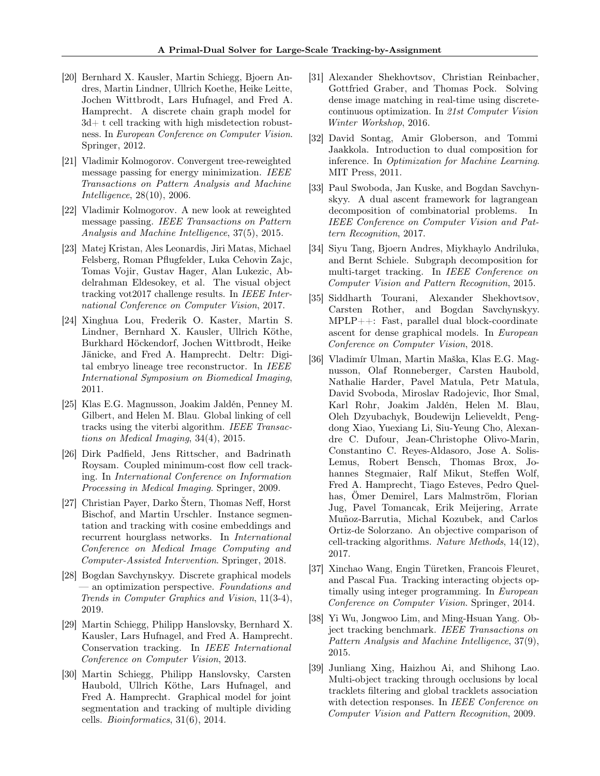- <span id="page-9-5"></span>[20] Bernhard X. Kausler, Martin Schiegg, Bjoern Andres, Martin Lindner, Ullrich Koethe, Heike Leitte, Jochen Wittbrodt, Lars Hufnagel, and Fred A. Hamprecht. A discrete chain graph model for 3d+ t cell tracking with high misdetection robustness. In *European Conference on Computer Vision*. Springer, 2012.
- <span id="page-9-14"></span>[21] Vladimir Kolmogorov. Convergent tree-reweighted message passing for energy minimization. *IEEE Transactions on Pattern Analysis and Machine Intelligence*, 28(10), 2006.
- <span id="page-9-15"></span>[22] Vladimir Kolmogorov. A new look at reweighted message passing. *IEEE Transactions on Pattern Analysis and Machine Intelligence*, 37(5), 2015.
- <span id="page-9-1"></span>[23] Matej Kristan, Ales Leonardis, Jiri Matas, Michael Felsberg, Roman Pflugfelder, Luka Cehovin Zajc, Tomas Vojir, Gustav Hager, Alan Lukezic, Abdelrahman Eldesokey, et al. The visual object tracking vot2017 challenge results. In *IEEE International Conference on Computer Vision*, 2017.
- <span id="page-9-12"></span>[24] Xinghua Lou, Frederik O. Kaster, Martin S. Lindner, Bernhard X. Kausler, Ullrich Köthe, Burkhard Höckendorf, Jochen Wittbrodt, Heike Jänicke, and Fred A. Hamprecht. Deltr: Digital embryo lineage tree reconstructor. In *IEEE International Symposium on Biomedical Imaging*, 2011.
- <span id="page-9-7"></span>[25] Klas E.G. Magnusson, Joakim Jaldén, Penney M. Gilbert, and Helen M. Blau. Global linking of cell tracks using the viterbi algorithm. *IEEE Transactions on Medical Imaging*, 34(4), 2015.
- <span id="page-9-11"></span>[26] Dirk Padfield, Jens Rittscher, and Badrinath Roysam. Coupled minimum-cost flow cell tracking. In *International Conference on Information Processing in Medical Imaging*. Springer, 2009.
- <span id="page-9-6"></span>[27] Christian Payer, Darko Štern, Thomas Neff, Horst Bischof, and Martin Urschler. Instance segmentation and tracking with cosine embeddings and recurrent hourglass networks. In *International Conference on Medical Image Computing and Computer-Assisted Intervention*. Springer, 2018.
- <span id="page-9-19"></span>[28] Bogdan Savchynskyy. Discrete graphical models — an optimization perspective. *Foundations and Trends in Computer Graphics and Vision*, 11(3-4), 2019.
- <span id="page-9-8"></span>[29] Martin Schiegg, Philipp Hanslovsky, Bernhard X. Kausler, Lars Hufnagel, and Fred A. Hamprecht. Conservation tracking. In *IEEE International Conference on Computer Vision*, 2013.
- <span id="page-9-9"></span>[30] Martin Schiegg, Philipp Hanslovsky, Carsten Haubold, Ullrich Köthe, Lars Hufnagel, and Fred A. Hamprecht. Graphical model for joint segmentation and tracking of multiple dividing cells. *Bioinformatics*, 31(6), 2014.
- <span id="page-9-16"></span>[31] Alexander Shekhovtsov, Christian Reinbacher, Gottfried Graber, and Thomas Pock. Solving dense image matching in real-time using discretecontinuous optimization. In *21st Computer Vision Winter Workshop*, 2016.
- <span id="page-9-13"></span>[32] David Sontag, Amir Globerson, and Tommi Jaakkola. Introduction to dual composition for inference. In *Optimization for Machine Learning*. MIT Press, 2011.
- <span id="page-9-18"></span>[33] Paul Swoboda, Jan Kuske, and Bogdan Savchynskyy. A dual ascent framework for lagrangean decomposition of combinatorial problems. In *IEEE Conference on Computer Vision and Pattern Recognition*, 2017.
- <span id="page-9-3"></span>[34] Siyu Tang, Bjoern Andres, Miykhaylo Andriluka, and Bernt Schiele. Subgraph decomposition for multi-target tracking. In *IEEE Conference on Computer Vision and Pattern Recognition*, 2015.
- <span id="page-9-17"></span>[35] Siddharth Tourani, Alexander Shekhovtsov, Carsten Rother, and Bogdan Savchynskyy. MPLP++: Fast, parallel dual block-coordinate ascent for dense graphical models. In *European Conference on Computer Vision*, 2018.
- <span id="page-9-0"></span>[36] Vladimír Ulman, Martin Maška, Klas E.G. Magnusson, Olaf Ronneberger, Carsten Haubold, Nathalie Harder, Pavel Matula, Petr Matula, David Svoboda, Miroslav Radojevic, Ihor Smal, Karl Rohr, Joakim Jaldén, Helen M. Blau, Oleh Dzyubachyk, Boudewijn Lelieveldt, Pengdong Xiao, Yuexiang Li, Siu-Yeung Cho, Alexandre C. Dufour, Jean-Christophe Olivo-Marin, Constantino C. Reyes-Aldasoro, Jose A. Solis-Lemus, Robert Bensch, Thomas Brox, Johannes Stegmaier, Ralf Mikut, Steffen Wolf, Fred A. Hamprecht, Tiago Esteves, Pedro Quelhas, Ömer Demirel, Lars Malmström, Florian Jug, Pavel Tomancak, Erik Meijering, Arrate Muñoz-Barrutia, Michal Kozubek, and Carlos Ortiz-de Solorzano. An objective comparison of cell-tracking algorithms. *Nature Methods*, 14(12), 2017.
- <span id="page-9-4"></span>[37] Xinchao Wang, Engin Türetken, Francois Fleuret, and Pascal Fua. Tracking interacting objects optimally using integer programming. In *European Conference on Computer Vision*. Springer, 2014.
- <span id="page-9-2"></span>[38] Yi Wu, Jongwoo Lim, and Ming-Hsuan Yang. Object tracking benchmark. *IEEE Transactions on Pattern Analysis and Machine Intelligence*, 37(9), 2015.
- <span id="page-9-10"></span>[39] Junliang Xing, Haizhou Ai, and Shihong Lao. Multi-object tracking through occlusions by local tracklets filtering and global tracklets association with detection responses. In *IEEE Conference on Computer Vision and Pattern Recognition*, 2009.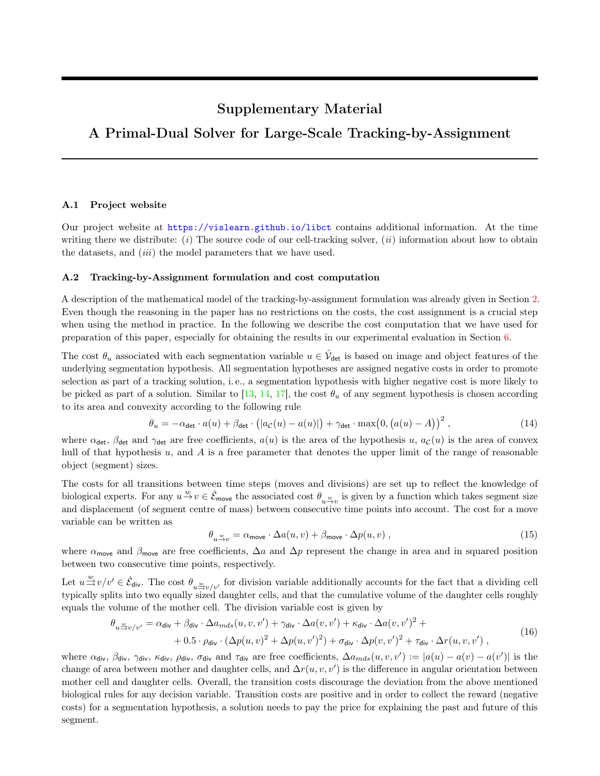# Supplementary Material

# A Primal-Dual Solver for Large-Scale Tracking-by-Assignment

#### A.1 Project website

Our project website at <https://vislearn.github.io/libct> contains additional information. At the time writing there we distribute: (i) The source code of our cell-tracking solver, (ii) information about how to obtain the datasets, and *(iii)* the model parameters that we have used.

### A.2 Tracking-by-Assignment formulation and cost computation

A description of the mathematical model of the tracking-by-assignment formulation was already given in Section 2. Even though the reasoning in the paper has no restrictions on the costs, the cost assignment is a crucial step when using the method in practice. In the following we describe the cost computation that we have used for preparation of this paper, especially for obtaining the results in our experimental evaluation in Section 6.

The cost  $\theta_u$  associated with each segmentation variable  $u \in \hat{\mathcal{V}}_{\text{det}}$  is based on image and object features of the underlying segmentation hypothesis. All segmentation hypotheses are assigned negative costs in order to promote selection as part of a tracking solution, i. e., a segmentation hypothesis with higher negative cost is more likely to be picked as part of a solution. Similar to [13, 14, 17], the cost  $\theta_u$  of any segment hypothesis is chosen according to its area and convexity according to the following rule

$$
\theta_u = -\alpha_{\text{det}} \cdot a(u) + \beta_{\text{det}} \cdot \left( |a_{\mathcal{C}}(u) - a(u)| \right) + \gamma_{\text{det}} \cdot \max(0, (a(u) - A))^2,
$$
\n(14)

where  $\alpha_{\det}$ ,  $\beta_{\det}$  and  $\gamma_{\det}$  are free coefficients,  $a(u)$  is the area of the hypothesis u,  $a_c(u)$  is the area of convex hull of that hypothesis  $u$ , and  $A$  is a free parameter that denotes the upper limit of the range of reasonable object (segment) sizes.

The costs for all transitions between time steps (moves and divisions) are set up to reflect the knowledge of biological experts. For any  $u \stackrel{w}{\to} v \in \hat{\mathcal{E}}_{\text{move}}$  the associated cost  $\theta_{u \stackrel{w}{\to} v}$  is given by a function which takes segment size and displacement (of segment centre of mass) between consecutive time points into account. The cost for a move variable can be written as

$$
\theta_{u \stackrel{w}{\to} v} = \alpha_{\text{move}} \cdot \Delta a(u, v) + \beta_{\text{move}} \cdot \Delta p(u, v) ,
$$
\n(15)

where  $\alpha_{\text{move}}$  and  $\beta_{\text{move}}$  are free coefficients,  $\Delta a$  and  $\Delta p$  represent the change in area and in squared position between two consecutive time points, respectively.

Let  $u \stackrel{w}{\Rightarrow} v/v' \in \hat{\mathcal{E}}_{\mathsf{div}}$ . The cost  $\theta_{u \stackrel{w}{\Rightarrow} v/v'}$  for division variable additionally accounts for the fact that a dividing cell typically splits into two equally sized daughter cells, and that the cumulative volume of the daughter cells roughly equals the volume of the mother cell. The division variable cost is given by

$$
\theta_{u \stackrel{w}{\to} v/v'} = \alpha_{\text{div}} + \beta_{\text{div}} \cdot \Delta a_{mds}(u, v, v') + \gamma_{\text{div}} \cdot \Delta a(v, v') + \kappa_{\text{div}} \cdot \Delta a(v, v')^2 + + 0.5 \cdot \rho_{\text{div}} \cdot (\Delta p(u, v)^2 + \Delta p(u, v')^2) + \sigma_{\text{div}} \cdot \Delta p(v, v')^2 + \tau_{\text{div}} \cdot \Delta r(u, v, v'),
$$
\n(16)

where  $\alpha_{\text{div}}, \beta_{\text{div}}, \gamma_{\text{div}}, \kappa_{\text{div}}, \rho_{\text{div}}, \sigma_{\text{div}}$  and  $\tau_{\text{div}}$  are free coefficients,  $\Delta a_{mds}(u, v, v') := |a(u) - a(v) - a(v')|$  is the change of area between mother and daughter cells, and  $\Delta r(u, v, v')$  is the difference in angular orientation between mother cell and daughter cells. Overall, the transition costs discourage the deviation from the above mentioned biological rules for any decision variable. Transition costs are positive and in order to collect the reward (negative costs) for a segmentation hypothesis, a solution needs to pay the price for explaining the past and future of this segment.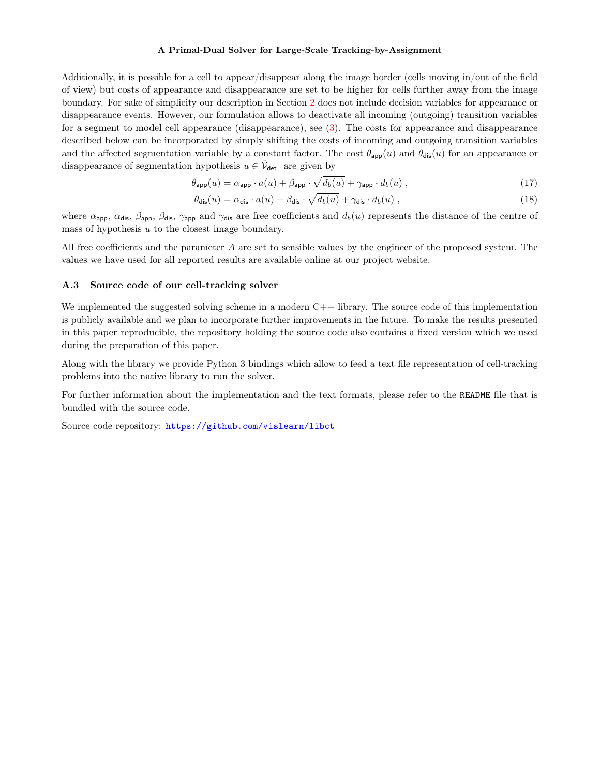Additionally, it is possible for a cell to appear/disappear along the image border (cells moving in/out of the field of view) but costs of appearance and disappearance are set to be higher for cells further away from the image boundary. For sake of simplicity our description in Section 2 does not include decision variables for appearance or disappearance events. However, our formulation allows to deactivate all incoming (outgoing) transition variables for a segment to model cell appearance (disappearance), see (3). The costs for appearance and disappearance described below can be incorporated by simply shifting the costs of incoming and outgoing transition variables and the affected segmentation variable by a constant factor. The cost  $\theta_{\text{app}}(u)$  and  $\theta_{\text{dis}}(u)$  for an appearance or disappearance of segmentation hypothesis  $u \in \hat{\mathcal{V}}_{\text{det}}$  are given by

$$
\theta_{\text{app}}(u) = \alpha_{\text{app}} \cdot a(u) + \beta_{\text{app}} \cdot \sqrt{d_b(u)} + \gamma_{\text{app}} \cdot d_b(u) , \qquad (17)
$$

$$
\theta_{\text{dis}}(u) = \alpha_{\text{dis}} \cdot a(u) + \beta_{\text{dis}} \cdot \sqrt{d_b(u)} + \gamma_{\text{dis}} \cdot d_b(u) , \qquad (18)
$$

where  $\alpha_{\text{app}}$ ,  $\alpha_{\text{dis}}$ ,  $\beta_{\text{app}}$ ,  $\beta_{\text{dis}}$ ,  $\gamma_{\text{app}}$  and  $\gamma_{\text{dis}}$  are free coefficients and  $d_b(u)$  represents the distance of the centre of mass of hypothesis  $u$  to the closest image boundary.

All free coefficients and the parameter A are set to sensible values by the engineer of the proposed system. The values we have used for all reported results are available online at our project website.

#### A.3 Source code of our cell-tracking solver

We implemented the suggested solving scheme in a modern  $C++$  library. The source code of this implementation is publicly available and we plan to incorporate further improvements in the future. To make the results presented in this paper reproducible, the repository holding the source code also contains a fixed version which we used during the preparation of this paper.

Along with the library we provide Python 3 bindings which allow to feed a text file representation of cell-tracking problems into the native library to run the solver.

For further information about the implementation and the text formats, please refer to the README file that is bundled with the source code.

Source code repository: <https://github.com/vislearn/libct>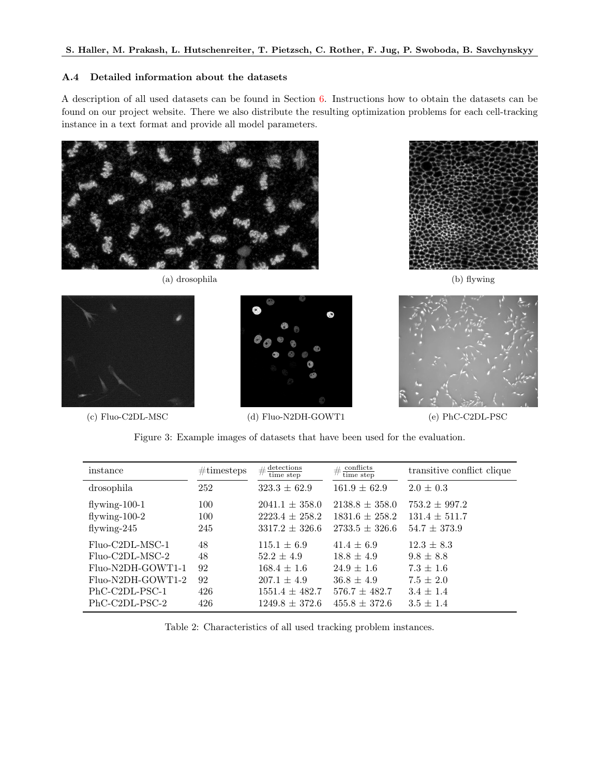### A.4 Detailed information about the datasets

A description of all used datasets can be found in Section 6. Instructions how to obtain the datasets can be found on our project website. There we also distribute the resulting optimization problems for each cell-tracking instance in a text format and provide all model parameters.



(a) drosophila (b) flywing





(c) Fluo-C2DL-MSC (d) Fluo-N2DH-GOWT1 (e) PhC-C2DL-PSC





Figure 3: Example images of datasets that have been used for the evaluation.

| instance          | $\#\text{timesteps}$ | $\#\frac{\text{detection}}{\text{time step}}$ | $\#\frac{\text{conflicts}}{\text{time step}}$ | transitive conflict clique |
|-------------------|----------------------|-----------------------------------------------|-----------------------------------------------|----------------------------|
| drosophila        | 252                  | $323.3 \pm 62.9$                              | $161.9 \pm 62.9$                              | $2.0 \pm 0.3$              |
| flywing- $100-1$  | 100                  | $2041.1 \pm 358.0$                            | $2138.8 \pm 358.0$                            | $753.2 \pm 997.2$          |
| flywing- $100-2$  | 100                  | $2223.4 \pm 258.2$                            | $1831.6 \pm 258.2$                            | $131.4 \pm 511.7$          |
| flywing- $245$    | 245                  | $3317.2 \pm 326.6$                            | $2733.5 \pm 326.6$                            | $54.7 \pm 373.9$           |
| Fluo-C2DL-MSC-1   | 48                   | $115.1 \pm 6.9$                               | $41.4 \pm 6.9$                                | $12.3 \pm 8.3$             |
| Fluo-C2DL-MSC-2   | 48                   | $52.2 \pm 4.9$                                | $18.8 \pm 4.9$                                | $9.8 \pm 8.8$              |
| Fluo-N2DH-GOWT1-1 | 92                   | $168.4 \pm 1.6$                               | $24.9 \pm 1.6$                                | $7.3 \pm 1.6$              |
| Fluo-N2DH-GOWT1-2 | 92                   | $207.1 \pm 4.9$                               | $36.8 \pm 4.9$                                | $7.5 \pm 2.0$              |
| PhC-C2DL-PSC-1    | 426                  | $1551.4 \pm 482.7$                            | $576.7 \pm 482.7$                             | $3.4 \pm 1.4$              |
| PhC-C2DL-PSC-2    | 426                  | $1249.8 + 372.6$                              | $455.8 \pm 372.6$                             | $3.5 \pm 1.4$              |

Table 2: Characteristics of all used tracking problem instances.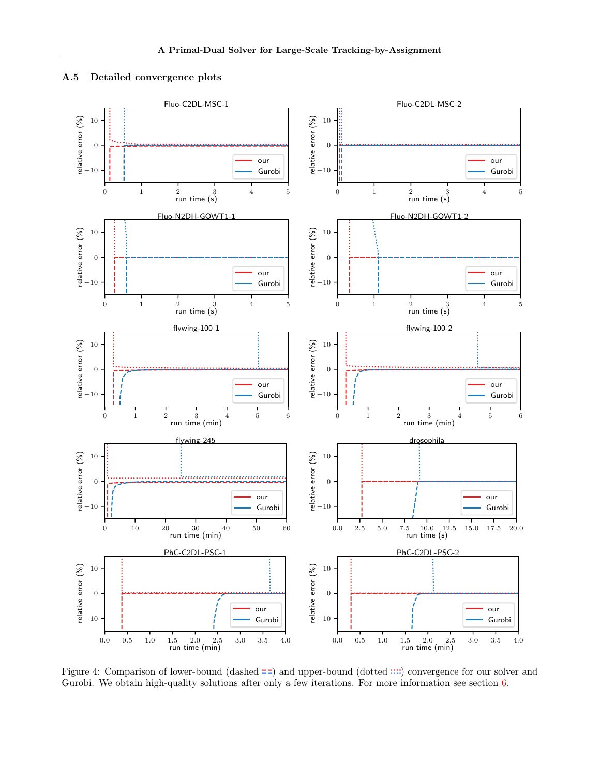## A.5 Detailed convergence plots



Figure 4: Comparison of lower-bound (dashed  $=$  and upper-bound (dotted  $\cdots$ ) convergence for our solver and Gurobi. We obtain high-quality solutions after only a few iterations. For more information see section  $6$ .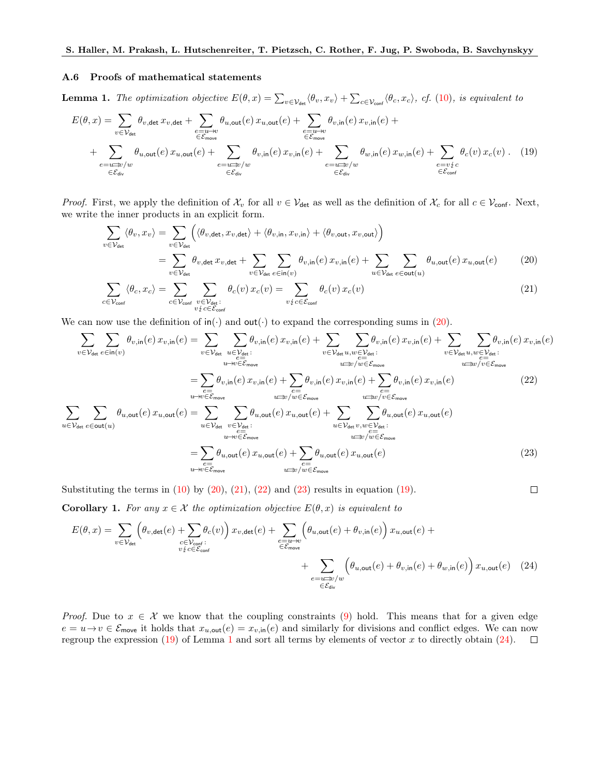#### A.6 Proofs of mathematical statements

**Lemma 1.** The optimization objective  $E(\theta, x) = \sum_{v \in \mathcal{V}_{\text{det}}} \langle \theta_v, x_v \rangle + \sum_{c \in \mathcal{V}_{\text{conf}}} \langle \theta_c, x_c \rangle$ , cf. (10), is equivalent to

$$
E(\theta, x) = \sum_{v \in \mathcal{V}_{\text{det}}} \theta_{v, \text{det}} x_{v, \text{det}} + \sum_{\substack{e = u \to v \\ \in \mathcal{E}_{\text{move}}}} \theta_{u, \text{out}}(e) x_{u, \text{out}}(e) + \sum_{\substack{e = u \to v \\ \in \mathcal{E}_{\text{move}}}} \theta_{v, \text{in}}(e) x_{v, \text{in}}(e) + \sum_{\substack{e = u \to v \\ \in \mathcal{E}_{\text{div}}}} \theta_{v, \text{in}}(e) x_{v, \text{in}}(e) + \sum_{\substack{e = u \to v / w \\ \in \mathcal{E}_{\text{div}}}} \theta_{w, \text{in}}(e) x_{v, \text{in}}(e) + \sum_{\substack{e = u \to v / w \\ \in \mathcal{E}_{\text{div}}}} \theta_{w, \text{in}}(e) x_{w, \text{in}}(e) + \sum_{\substack{e = v \neq c \\ \in \mathcal{E}_{\text{div}}}} \theta_{c}(v) x_{c}(v) \tag{19}
$$

*Proof.* First, we apply the definition of  $\mathcal{X}_v$  for all  $v \in \mathcal{V}_{\text{det}}$  as well as the definition of  $\mathcal{X}_c$  for all  $c \in \mathcal{V}_{\text{conf}}$ . Next, we write the inner products in an explicit form.

$$
\sum_{v \in \mathcal{V}_{\text{det}}} \langle \theta_v, x_v \rangle = \sum_{v \in \mathcal{V}_{\text{det}}} \left( \langle \theta_{v, \text{det}}, x_{v, \text{det}} \rangle + \langle \theta_{v, \text{in}}, x_{v, \text{in}} \rangle + \langle \theta_{v, \text{out}}, x_{v, \text{out}} \rangle \right)
$$
\n
$$
= \sum_{v \in \mathcal{V}_{\text{det}}} \theta_{v, \text{det}} x_{v, \text{det}} + \sum_{v \in \mathcal{V}_{\text{det}}} \sum_{e \in \text{in}(v)} \theta_{v, \text{in}}(e) x_{v, \text{in}}(e) + \sum_{u \in \mathcal{V}_{\text{det}}} \sum_{e \in \text{out}(u)} \theta_{u, \text{out}}(e) x_{u, \text{out}}(e) \tag{20}
$$
\n
$$
\sum_{v \in \mathcal{V}_{\text{det}}} \langle \theta_{e, x_{e}} \rangle = \sum_{v \in \mathcal{V}} \sum_{e \in \text{out}(v)} \theta_{e}(v) x_{e}(v) = \sum_{e \in \text{out}(v)} \theta_{e}(v) x_{e}(v) \tag{21}
$$

$$
\sum_{c \in \mathcal{V}_{\text{conf}}} \langle \theta_c, x_c \rangle = \sum_{c \in \mathcal{V}_{\text{conf}}} \sum_{\substack{v \in \mathcal{V}_{\text{det}}} v_c(v) \ x_c(v) = \sum_{v \{c \in \mathcal{E}_{\text{conf}}} \theta_c(v) \ x_c(v) \tag{21}
$$

We can now use the definition of  $\text{in}(\cdot)$  and  $\text{out}(\cdot)$  to expand the corresponding sums in [\(20\)](#page-14-0).

$$
\sum_{v \in \mathcal{V}_{\text{det}}} \sum_{e \in \text{in}(v)} \theta_{v,\text{in}}(e) x_{v,\text{in}}(e) = \sum_{v \in \mathcal{V}_{\text{det}}} \sum_{u \in \mathcal{V}_{\text{det}}} \theta_{v,\text{in}}(e) x_{v,\text{in}}(e) + \sum_{v \in \mathcal{V}_{\text{det}}} \sum_{u \in \mathcal{V}_{\text{det}}} \theta_{v,\text{in}}(e) x_{v,\text{in}}(e) + \sum_{v \in \mathcal{V}_{\text{det}}} \sum_{u \in \mathcal{V}_{\text{det}}} \theta_{v,\text{in}}(e) x_{v,\text{in}}(e) x_{v,\text{in}}(e)
$$
\n
$$
= \sum_{\substack{e \in \text{max} \\ u \to v \in \mathcal{E}_{\text{move}} \\ u \to v \in \mathcal{E}_{\text{move}}}} \theta_{v,\text{in}}(e) x_{v,\text{in}}(e) + \sum_{\substack{e \in \text{max} \\ u \to v \neq v \in \mathcal{E}_{\text{move}} \\ v \in \mathcal{V}_{\text{det}}} \theta_{v,\text{in}}(e) x_{v,\text{in}}(e) + \sum_{u \in \mathcal{V}_{\text{int}}} \theta_{v,\text{in}}(e) x_{v,\text{in}}(e) x_{v,\text{in}}(e)
$$
\n
$$
\sum_{u \in \mathcal{V}_{\text{det}}} \sum_{e \in \text{move}} \theta_{u,\text{out}}(e) x_{u,\text{out}}(e) = \sum_{u \in \mathcal{V}_{\text{det}}} \sum_{v \in \mathcal{V}_{\text{det}}} \theta_{u,\text{out}}(e) x_{u,\text{out}}(e) + \sum_{u \in \mathcal{V}_{\text{det}}} \sum_{v \in \mathcal{V}_{\text{det}}} \theta_{u,\text{out}}(e) x_{u,\text{out}}(e)
$$
\n
$$
= \sum_{\substack{e \in \text{max} \\ u \to v \in \mathcal{E}_{\text{move}}}} \theta_{u,\text{out}}(e) x_{u,\text{out}}(e) + \sum_{\substack{e \in \text{max} \\ u \in \mathcal{V}_{\text{int}}} \theta_{u,\text{out}}(e) x_{u,\text{out}}(e) x_{u,\text{out}}(e) + \
$$

<span id="page-14-5"></span><span id="page-14-4"></span><span id="page-14-3"></span><span id="page-14-2"></span><span id="page-14-1"></span><span id="page-14-0"></span> $\Box$ 

Substituting the terms in  $(10)$  by  $(20)$ ,  $(21)$ ,  $(22)$  and  $(23)$  results in equation  $(19)$ .

**Corollary 1.** For any  $x \in \mathcal{X}$  the optimization objective  $E(\theta, x)$  is equivalent to

$$
E(\theta, x) = \sum_{v \in \mathcal{V}_{\text{det}}} \left( \theta_{v, \text{det}}(e) + \sum_{\substack{c \in \mathcal{V}_{\text{conf}}} c(v)} \theta_c(v) \right) x_{v, \text{det}}(e) + \sum_{\substack{e = u \to v \\ \in \mathcal{E}_{\text{move}}}} \left( \theta_{u, \text{out}}(e) + \theta_{v, \text{in}}(e) \right) x_{u, \text{out}}(e) + \sum_{\substack{e = u \to v \\ \in \mathcal{E}_{\text{div}}} \left( \theta_{u, \text{out}}(e) + \theta_{v, \text{in}}(e) + \theta_{v, \text{in}}(e) \right) x_{u, \text{out}}(e) \tag{24}
$$

*Proof.* Due to  $x \in \mathcal{X}$  we know that the coupling constraints (9) hold. This means that for a given edge  $e = u \to v \in \mathcal{E}_{\text{move}}$  it holds that  $x_{u,\text{out}}(e) = x_{v,\text{in}}(e)$  and similarly for divisions and conflict edges. We can now regroup the expression [\(19\)](#page-14-4) of Lemma [1](#page-14-4) and sort all terms by elements of vector x to directly obtain  $(24)$ .  $\Box$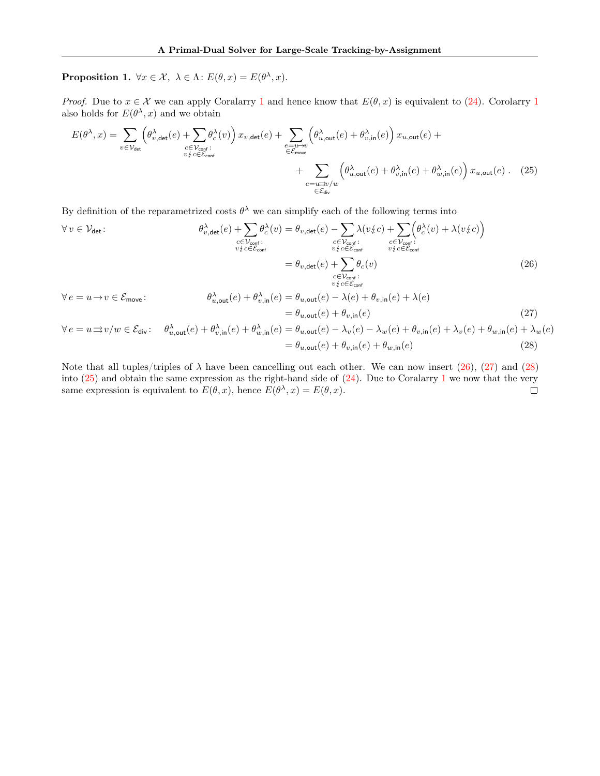**Proposition 1.**  $\forall x \in \mathcal{X}, \ \lambda \in \Lambda$ :  $E(\theta, x) = E(\theta^{\lambda}, x)$ .

*Proof.* Due to  $x \in \mathcal{X}$  we can apply Coralarry [1](#page-14-5) and hence know that  $E(\theta, x)$  is equivalent to [\(24\)](#page-14-5). Corolarry 1 also holds for  $E(\theta^{\lambda}, x)$  and we obtain

<span id="page-15-3"></span>
$$
E(\theta^{\lambda}, x) = \sum_{v \in \mathcal{V}_{\text{det}}} \left( \theta_{v, \text{det}}^{\lambda}(e) + \sum_{\substack{c \in \mathcal{V}_{\text{conf}}} c(v)} \theta_c^{\lambda}(v) \right) x_{v, \text{det}}(e) + \sum_{\substack{e = u \to v \\ \in \mathcal{E}_{\text{move}}} \left( \theta_{u, \text{out}}^{\lambda}(e) + \theta_{v, \text{in}}^{\lambda}(e) \right) x_{u, \text{out}}(e) + \sum_{\substack{e = u \to v \\ \in \mathcal{E}_{\text{div}}} \left( \theta_{u, \text{out}}^{\lambda}(e) + \theta_{v, \text{in}}^{\lambda}(e) + \theta_{w, \text{in}}^{\lambda}(e) \right) x_{u, \text{out}}(e) \tag{25}
$$

By definition of the reparametrized costs  $\theta^{\lambda}$  we can simplify each of the following terms into

$$
\forall v \in \mathcal{V}_{\text{det}}: \qquad \theta_{v,\text{det}}^{\lambda}(e) + \sum_{\substack{c \in \mathcal{V}_{\text{conf}}:\\v \nmid c \in \mathcal{E}_{\text{conf}}}} \theta_c^{\lambda}(v) = \theta_{v,\text{det}}(e) - \sum_{\substack{c \in \mathcal{V}_{\text{conf}}}\\\nu \nmid c \in \mathcal{E}_{\text{conf}}} \lambda(v \nmid c) + \sum_{\substack{c \in \mathcal{V}_{\text{conf}}}\\\nu \nmid c \in \mathcal{E}_{\text{conf}}} \theta_c^{\lambda}(v) + \lambda(v \nmid c) \bigg) = \theta_{v,\text{det}}(e) + \sum_{\substack{c \in \mathcal{V}_{\text{conf}}}\\\nu \nmid c \in \mathcal{E}_{\text{conf}}} \theta_c(v)
$$
\n(26)

<span id="page-15-1"></span><span id="page-15-0"></span>
$$
\forall e = u \to v \in \mathcal{E}_{\text{move}}:
$$
  

$$
\theta_{u,\text{out}}^{\lambda}(e) + \theta_{v,\text{in}}^{\lambda}(e) = \theta_{u,\text{out}}(e) - \lambda(e) + \theta_{v,\text{in}}(e) + \lambda(e)
$$
  

$$
= \theta_{u,\text{out}}(e) + \theta_{v,\text{in}}(e)
$$
(27)

<span id="page-15-2"></span>
$$
\forall e = u \Rightarrow v/w \in \mathcal{E}_{div}: \quad \theta_{u,out}^{\lambda}(e) + \theta_{v,in}^{\lambda}(e) + \theta_{w,in}^{\lambda}(e) = \theta_{u,out}(e) - \lambda_v(e) - \lambda_w(e) + \theta_{v,in}(e) + \lambda_v(e) + \theta_{w,in}(e) + \lambda_w(e) = \theta_{u,out}(e) + \theta_{v,in}(e) + \theta_{w,in}(e) \tag{28}
$$

Note that all tuples/triples of  $\lambda$  have been cancelling out each other. We can now insert [\(26\)](#page-15-0), [\(27\)](#page-15-1) and [\(28\)](#page-15-2) into  $(25)$  and obtain the same expression as the right-hand side of  $(24)$ . Due to Coralarry [1](#page-14-5) we now that the very same expression is equivalent to  $E(\theta, x)$ , hence  $E(\theta^{\lambda}, x) = E(\theta, x)$ .  $\Box$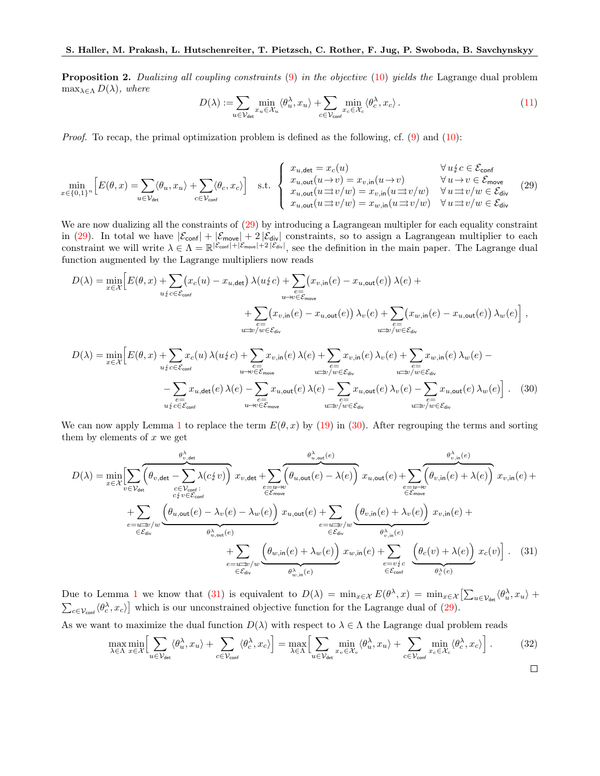**Proposition 2.** Dualizing all coupling constraints  $(9)$  in the objective  $(10)$  yields the Lagrange dual problem  $\max_{\lambda \in \Lambda} D(\lambda)$ , where

<span id="page-16-1"></span><span id="page-16-0"></span>
$$
D(\lambda) := \sum_{u \in \mathcal{V}_{\text{det}}} \min_{x_u \in \mathcal{X}_u} \langle \theta_u^{\lambda}, x_u \rangle + \sum_{c \in \mathcal{V}_{\text{conf}}} \min_{x_c \in \mathcal{X}_c} \langle \theta_c^{\lambda}, x_c \rangle.
$$
 (11)

Proof. To recap, the primal optimization problem is defined as the following, cf. (9) and (10):

$$
\min_{x \in \{0,1\}^n} \left[ E(\theta, x) = \sum_{u \in \mathcal{V}_{\text{det}}} \langle \theta_u, x_u \rangle + \sum_{c \in \mathcal{V}_{\text{conf}}} \langle \theta_c, x_c \rangle \right] \quad \text{s.t.} \quad \begin{cases} x_{u, \text{det}} = x_c(u) & \forall u \{c \in \mathcal{E}_{\text{conf}} \\ x_{u, \text{out}}(u \to v) = x_{v, \text{in}}(u \to v) & \forall u \to v \in \mathcal{E}_{\text{move}} \\ x_{u, \text{out}}(u \rightrightarrows v/w) = x_{v, \text{in}}(u \rightrightarrows v/w) & \forall u \rightrightarrows v/w \in \mathcal{E}_{\text{div}} \end{cases} \tag{29}
$$

We are now dualizing all the constraints of  $(29)$  by introducing a Lagrangean multipler for each equality constraint in [\(29\)](#page-16-0). In total we have  $|\mathcal{E}_{\text{conf}}| + |\mathcal{E}_{\text{move}}| + 2|\mathcal{E}_{\text{div}}|$  constraints, so to assign a Lagrangean multiplier to each constraint we will write  $\lambda \in \Lambda = \mathbb{R}^{|\mathcal{E}_{\text{conf}}| + |\mathcal{E}_{\text{move}}| + 2|\mathcal{E}_{\text{div}}|}$ , see the definition in the main paper. The Lagrange dual function augmented by the Lagrange multipliers now reads

$$
D(\lambda) = \min_{x \in \mathcal{X}} \Big[ E(\theta, x) + \sum_{u \neq c \in \mathcal{E}_{\text{conf}}} (x_c(u) - x_{u, \text{det}}) \lambda(u_x^c c) + \sum_{\substack{e = \\ u \to v \in \mathcal{E}_{\text{move}}}} (x_{v, \text{in}}(e) - x_{u, \text{out}}(e)) \lambda(e) + \sum_{\substack{e = \\ v \to v \text{ / } w \in \mathcal{E}_{\text{div}}}} (x_{v, \text{in}}(e) - x_{u, \text{out}}(e)) \lambda_w(e) + \sum_{\substack{e = \\ v \to v \text{ / } w \in \mathcal{E}_{\text{div}}}} (x_{w, \text{in}}(e) - x_{u, \text{out}}(e)) \lambda_w(e) \Big] ,
$$

$$
D(\lambda) = \min_{x \in \mathcal{X}} \Big[ E(\theta, x) + \sum_{u \neq c \in \mathcal{E}_{\text{conf}}} x_c(u) \lambda(u_c^c e) + \sum_{e \in \mathcal{E}_{\text{move}}} x_{v, \text{in}}(e) \lambda(e) + \sum_{w \neq v \in \mathcal{E}_{\text{div}}} x_{v, \text{in}}(e) \lambda_v(e) + \sum_{w \neq v \neq v \neq v, \text{in}} x_{w, \text{in}}(e) \lambda_w(e) - \sum_{u \neq v \neq v \in \mathcal{E}_{\text{div}}} x_{u, \text{out}}(e) \lambda(e) - \sum_{e \in \mathcal{E}_{\text{div}}} x_{u, \text{out}}(e) \lambda_v(e) - \sum_{e \in \mathcal{E}_{\text{div}}} x_{u, \text{out}}(e) \lambda_w(e) \Big] . \tag{30}
$$

We can now apply Lemma [1](#page-14-4) to replace the term  $E(\theta, x)$  by [\(19\)](#page-14-4) in [\(30\)](#page-16-1). After regrouping the terms and sorting them by elements of  $x$  we get

$$
D(\lambda) = \min_{x \in \mathcal{X}} \left[ \sum_{v \in \mathcal{V}_{\text{det}}} \overbrace{\left(\theta_{v,\text{det}} - \sum_{c \in \mathcal{V}_{\text{conf}} \atop c \nmid v \right) c_{v,\text{int}}}^{\theta_{v,\text{det}}^{\lambda}} \overbrace{\left(\theta_{u,\text{out}}(e) - \lambda(e)\right)}^{\theta_{v,\text{out}}^{\lambda}(e)} x_{u,\text{out}}(e) + \sum_{\substack{e=u \to v \\ e \in \mathcal{E}_{\text{move}}} \overbrace{\left(\theta_{u,\text{out}}(e) - \lambda_{v}(e) - \lambda_{w}(e)\right) c_{u,\text{out}}(e) + \sum_{e=u \to v \\ e \in \mathcal{E}_{\text{move}}} \overbrace{\left(\theta_{u,\text{out}}(e) - \lambda_{v}(e) - \lambda_{w}(e)\right) c_{u,\text{out}}(e)}^{\theta_{v,\text{out}}^{\lambda}(e)} x_{u,\text{out}}(e) + \sum_{e=u \to v/w} \overbrace{\left(\theta_{v,\text{in}}(e) + \lambda_{v}(e)\right) c_{v,\text{in}}(e) c_{v,\text{in}}}^{\theta_{v,\text{inc}}^{\lambda}(e)} x_{v,\text{in}}(e) + \sum_{e \in \mathcal{E}_{\text{div}}} \overbrace{\left(\theta_{u,\text{in}}(e) + \lambda_{w}(e)\right) c_{v,\text{in}}(e)}^{\theta_{v,\text{inc}}^{\lambda}(e)} x_{v,\text{in}}(e) + \sum_{e \in \mathcal{E}_{\text{div}}} \overbrace{\left(\theta_{u,\text{in}}(e) + \lambda(e)\right) c_{v,\text{in}}(e) c_{v}}^{\theta_{v,\text{inc}}^{\lambda}(e)} x_{c}(v) \left. - \overbrace{\left(\theta_{u,\text{in}}(e) - \lambda(e)\right) c_{v,\text{in}}(e)}^{\theta_{v,\text{out}}^{\lambda}(e)} x_{v,\text{in}}(e) + \sum_{e \in \mathcal{E}_{\text{div}}} \overbrace{\left(\theta_{u,\text{in}}(e) - \lambda(e)\right) c_{v,\text{in}}(e)}^{\theta_{v,\text{in}}^{\lambda}(e)} x_{v,\text{in}}(e) + \sum_{e \in \mathcal{E}_{\text{div}}} \overbrace{\left(\theta_{u,\text{in}}(e) - \lambda(e)\right) c
$$

Due to Lemma [1](#page-14-4) we know that [\(31\)](#page-16-2) is equivalent to  $D(\lambda) = \min_{x \in \mathcal{X}} E(\theta^{\lambda}, x) = \min_{x \in \mathcal{X}} \left[ \sum_{u \in \mathcal{V}_{\text{det}}} \langle \theta^{\lambda}_u, x_u \rangle + \right]$  $\sum_{c \in \mathcal{V}_{\text{conf}}} \langle \theta_c^{\lambda}, x_c \rangle$  which is our unconstrained objective function for the Lagrange dual of [\(29\)](#page-16-0).

As we want to maximize the dual function  $D(\lambda)$  with respect to  $\lambda \in \Lambda$  the Lagrange dual problem reads

<span id="page-16-2"></span>
$$
\max_{\lambda \in \Lambda} \min_{x \in \mathcal{X}} \left[ \sum_{u \in \mathcal{V}_{\text{det}}} \langle \theta_u^{\lambda}, x_u \rangle + \sum_{c \in \mathcal{V}_{\text{conf}}} \langle \theta_c^{\lambda}, x_c \rangle \right] = \max_{\lambda \in \Lambda} \left[ \sum_{u \in \mathcal{V}_{\text{det}}} \min_{x_v \in \mathcal{X}_v} \langle \theta_u^{\lambda}, x_u \rangle + \sum_{c \in \mathcal{V}_{\text{conf}}} \min_{x_c \in \mathcal{X}_c} \langle \theta_c^{\lambda}, x_c \rangle \right].
$$
 (32)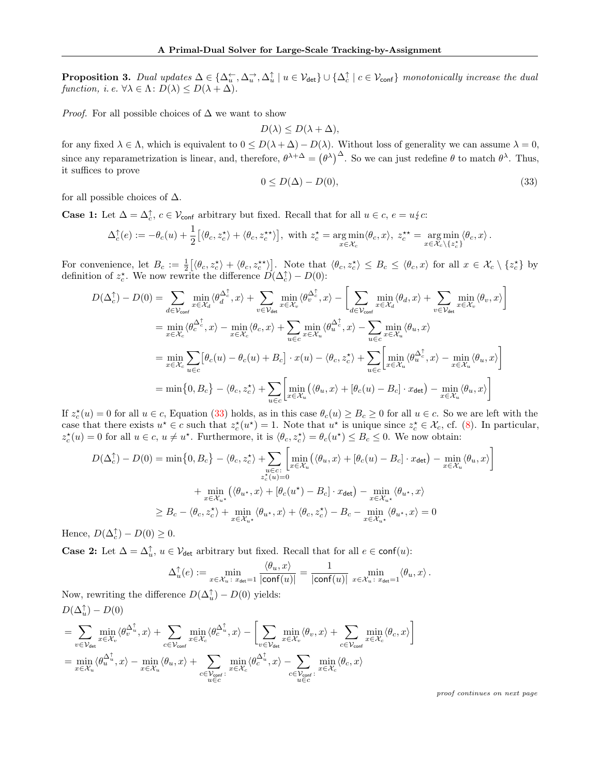**Proposition 3.** Dual updates  $\Delta \in \{\Delta_u^{\leftarrow}, \Delta_u^{\rightarrow}, \Delta_u^{\uparrow} \mid u \in \mathcal{V}_{\text{det}}\} \cup \{\Delta_c^{\uparrow} \mid c \in \mathcal{V}_{\text{conf}}\}$  monotonically increase the dual function, i. e.  $\forall \lambda \in \Lambda : D(\lambda) \leq D(\lambda + \Delta)$ .

*Proof.* For all possible choices of  $\Delta$  we want to show

$$
D(\lambda) \le D(\lambda + \Delta),
$$

for any fixed  $\lambda \in \Lambda$ , which is equivalent to  $0 \leq D(\lambda + \Delta) - D(\lambda)$ . Without loss of generality we can assume  $\lambda = 0$ , since any reparametrization is linear, and, therefore,  $\theta^{\lambda+\Delta} = (\theta^{\lambda})^{\Delta}$ . So we can just redefine  $\theta$  to match  $\theta^{\lambda}$ . Thus, it suffices to prove

<span id="page-17-0"></span>
$$
0 \le D(\Delta) - D(0),\tag{33}
$$

for all possible choices of  $\Delta$ .

**Case 1:** Let  $\Delta = \Delta_c^{\uparrow}$ ,  $c \in V_{\text{conf}}$  arbitrary but fixed. Recall that for all  $u \in c$ ,  $e = u \nmid c$ :

$$
\Delta_c^{\uparrow}(e) := -\theta_c(u) + \frac{1}{2} \big[ \langle \theta_c, z_c^{\star} \rangle + \langle \theta_c, z_c^{\star \star} \rangle \big], \text{ with } z_c^{\star} = \underset{x \in \mathcal{X}_c}{\arg \min} \langle \theta_c, x \rangle, \ z_c^{\star \star} = \underset{x \in \mathcal{X}_c}{\arg \min} \langle \theta_c, x \rangle \, .
$$

For convenience, let  $B_c := \frac{1}{2} [\langle \theta_c, z_c^* \rangle + \langle \theta_c, z_c^{**} \rangle]$ . Note that  $\langle \theta_c, z_c^* \rangle \leq B_c \leq \langle \theta_c, x \rangle$  for all  $x \in \mathcal{X}_c \setminus \{z_c^*\}$  by definition of  $z_c^*$ . We now rewrite the difference  $\overline{D}(\Delta_c^{\uparrow}) - D(0)$ :

$$
D(\Delta_c^{\uparrow}) - D(0) = \sum_{d \in \mathcal{V}_{\text{conf}}} \min_{x \in \mathcal{X}_d} \langle \theta_d^{\Delta_c^{\uparrow}}, x \rangle + \sum_{v \in \mathcal{V}_{\text{det}}} \min_{x \in \mathcal{X}_v} \langle \theta_v^{\Delta_c^{\uparrow}}, x \rangle - \left[ \sum_{d \in \mathcal{V}_{\text{conf}}} \min_{x \in \mathcal{X}_d} \langle \theta_d, x \rangle + \sum_{v \in \mathcal{V}_{\text{det}}} \min_{x \in \mathcal{X}_v} \langle \theta_v, x \rangle \right]
$$
  
\n
$$
= \min_{x \in \mathcal{X}_c} \langle \theta_c^{\Delta_c^{\uparrow}}, x \rangle - \min_{x \in \mathcal{X}_c} \langle \theta_c, x \rangle + \sum_{u \in c} \min_{x \in \mathcal{X}_u} \langle \theta_u^{\Delta_c^{\uparrow}}, x \rangle - \sum_{u \in c} \min_{x \in \mathcal{X}_u} \langle \theta_u, x \rangle
$$
  
\n
$$
= \min_{x \in \mathcal{X}_c} \sum_{u \in c} \left[ \theta_c(u) - \theta_c(u) + B_c \right] \cdot x(u) - \langle \theta_c, z_c^{\star} \rangle + \sum_{u \in c} \left[ \min_{x \in \mathcal{X}_u} \langle \theta_u^{\Delta_c^{\uparrow}}, x \rangle - \min_{x \in \mathcal{X}_u} \langle \theta_u, x \rangle \right]
$$
  
\n
$$
= \min \{0, B_c\} - \langle \theta_c, z_c^{\star} \rangle + \sum_{u \in c} \left[ \min_{x \in \mathcal{X}_u} \left( \langle \theta_u, x \rangle + [\theta_c(u) - B_c] \cdot x_{\text{det}} \right) - \min_{x \in \mathcal{X}_u} \langle \theta_u, x \rangle \right]
$$

If  $z_c^*(u) = 0$  for all  $u \in c$ , Equation [\(33\)](#page-17-0) holds, as in this case  $\theta_c(u) \ge B_c \ge 0$  for all  $u \in c$ . So we are left with the case that there exists  $u^* \in c$  such that  $z_c^*(u^*) = 1$ . Note that  $u^*$  is unique since  $z_c^* \in \mathcal{X}_c$ , cf. (8). In particular,  $z_c^*(u) = 0$  for all  $u \in c$ ,  $u \neq u^*$ . Furthermore, it is  $\langle \theta_c, z_c^* \rangle = \theta_c(u^*) \leq B_c \leq 0$ . We now obtain:

$$
D(\Delta_c^{\uparrow}) - D(0) = \min\{0, B_c\} - \langle \theta_c, z_c^{\star} \rangle + \sum_{\substack{u \in c:\\z_c^{\star}(u) = 0}} \left[ \min_{x \in \mathcal{X}_u} (\langle \theta_u, x \rangle + [\theta_c(u) - B_c] \cdot x_{\text{det}}) - \min_{x \in \mathcal{X}_u} \langle \theta_u, x \rangle \right] + \min_{x \in \mathcal{X}_{u^{\star}}} (\langle \theta_{u^{\star}}, x \rangle + [\theta_c(u^{\star}) - B_c] \cdot x_{\text{det}}) - \min_{x \in \mathcal{X}_{u^{\star}}} \langle \theta_{u^{\star}}, x \rangle \geq B_c - \langle \theta_c, z_c^{\star} \rangle + \min_{x \in \mathcal{X}_{u^{\star}}} \langle \theta_{u^{\star}}, x \rangle + \langle \theta_c, z_c^{\star} \rangle - B_c - \min_{x \in \mathcal{X}_{u^{\star}}} \langle \theta_{u^{\star}}, x \rangle = 0
$$

Hence,  $D(\Delta_c^{\uparrow}) - D(0) \geq 0$ .

**Case 2:** Let  $\Delta = \Delta_u^{\uparrow}$ ,  $u \in \mathcal{V}_{\text{det}}$  arbitrary but fixed. Recall that for all  $e \in \text{conf}(u)$ :

$$
\Delta_u^{\uparrow}(e) := \min_{x \in \mathcal{X}_u \colon x_{\text{det}} = 1} \frac{\langle \theta_u, x \rangle}{|\text{conf}(u)|} = \frac{1}{|\text{conf}(u)|} \min_{x \in \mathcal{X}_u \colon x_{\text{det}} = 1} \langle \theta_u, x \rangle.
$$

Now, rewriting the difference  $D(\Delta_u^{\uparrow}) - D(0)$  yields:  $D(\Delta_u^{\uparrow}) - D(0)$ 

$$
=\sum_{v\in\mathcal{V}_{\text{det}}} \min_{x\in\mathcal{X}_v} \langle \theta_v^{\Delta_u^\uparrow}, x\rangle + \sum_{c\in\mathcal{V}_{\text{conf}}} \min_{x\in\mathcal{X}_c} \langle \theta_c^{\Delta_u^\uparrow}, x\rangle - \left[\sum_{v\in\mathcal{V}_{\text{det}}} \min_{x\in\mathcal{X}_v} \langle \theta_v, x\rangle + \sum_{c\in\mathcal{V}_{\text{conf}}} \min_{x\in\mathcal{X}_c} \langle \theta_c, x\rangle\right] = \min_{x\in\mathcal{X}_u} \langle \theta_u^{\Delta_u^\uparrow}, x\rangle - \min_{x\in\mathcal{X}_u} \langle \theta_u, x\rangle + \sum_{c\in\mathcal{V}_{\text{conf}}:} \min_{x\in\mathcal{X}_c} \langle \theta_c^{\Delta_u^\uparrow}, x\rangle - \sum_{c\in\mathcal{V}_{\text{conf}}:} \min_{x\in\mathcal{X}_c} \langle \theta_c, x\rangle
$$

proof continues on next page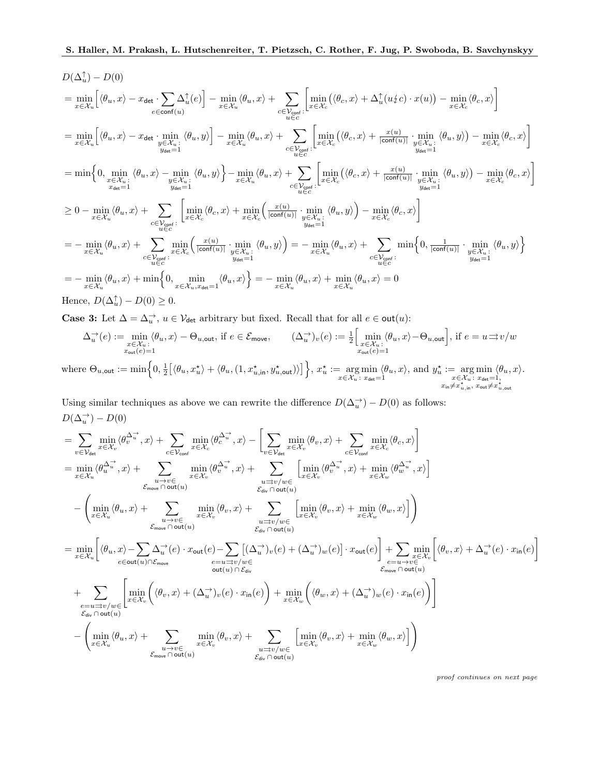$$
D(\Delta_u^{\uparrow}) - D(0)
$$
\n
$$
= \min_{x \in \mathcal{X}_u} \left[ \langle \theta_u, x \rangle - x_{\text{det}} \cdot \sum_{e \in \text{conf}(u)} \Delta_u^{\uparrow}(e) \right] - \min_{x \in \mathcal{X}_u} \langle \theta_u, x \rangle + \sum_{\substack{e \in \mathcal{V}_{\text{conf}} \\ u \in \mathcal{C}}} \left[ \min_{x \in \mathcal{X}_e} \langle \langle \theta_c, x \rangle + \Delta_u^{\uparrow}(u/c) \cdot x(u) \rangle - \min_{x \in \mathcal{X}_c} \langle \theta_c, x \rangle \right]
$$
\n
$$
= \min_{x \in \mathcal{X}_u} \left[ \langle \theta_u, x \rangle - x_{\text{det}} \cdot \min_{y \in \mathcal{X}_u} \langle \theta_u, y \rangle \right] - \min_{x \in \mathcal{X}_u} \langle \theta_u, x \rangle + \sum_{\substack{e \in \mathcal{V}_{\text{conf}} \\ u \in \mathcal{C}}} \left[ \min_{x \in \mathcal{X}_e} \langle \langle \theta_c, x \rangle + \frac{x(u)}{|\text{conf}(u)|} \cdot \min_{y \in \mathcal{X}_u} \langle \theta_u, y \rangle \right) - \min_{x \in \mathcal{X}_e} \langle \theta_c, x \rangle \right]
$$
\n
$$
= \min \left\{ 0, \min_{x \in \mathcal{X}_u} \langle \theta_u, x \rangle - \min_{y \in \mathcal{X}_u} \langle \theta_u, y \rangle \right\} - \min_{y \in \mathcal{X}_u} \langle \theta_u, x \rangle + \sum_{\substack{e \in \mathcal{V}_{\text{conf}} \\ u \in \mathcal{C}}} \left[ \min_{x \in \mathcal{X}_e} \langle \theta_c, x \rangle + \min_{y \in \mathcal{X}_u} \left[ \langle \theta_c, x \rangle + \min_{y \in \mathcal{X}_u} \langle \theta_u, x \rangle \right] - \min_{y \in \mathcal{X}_u} \langle \theta_u, x \rangle \right]
$$
\n
$$
= 0 - \min_{x \in \mathcal{X}_u} \langle \theta_u, x \rangle + \sum_{\substack{e \in \mathcal{V}_{\text{conf}} \\ u \in \mathcal{C}}} \left[ \min_{x \in \mathcal{X}_e
$$

Case 3: Let  $\Delta = \Delta_u^{\rightarrow}$ ,  $u \in V_{\text{det}}$  arbitrary but fixed. Recall that for all  $e \in \text{out}(u)$ :

$$
\Delta_u^{\rightarrow}(e) := \min_{\substack{x \in \mathcal{X}_u : \\ x_{\text{out}}(e) = 1}} \langle \theta_u, x \rangle - \Theta_{u, \text{out}}, \text{ if } e \in \mathcal{E}_{\text{move}}, \qquad (\Delta_u^{\rightarrow})_v(e) := \frac{1}{2} \Big[ \min_{\substack{x \in \mathcal{X}_u : \\ x_{\text{out}}(e) = 1}} \langle \theta_u, x \rangle - \Theta_{u, \text{out}} \Big], \text{ if } e = u \Rightarrow v/w
$$
\n
$$
\text{where } \Theta_{u, \text{out}} := \min \Big\{ 0, \frac{1}{2} \big[ \langle \theta_u, x_u^{\star} \rangle + \langle \theta_u, (1, x_{u, \text{in}}^{\star}, y_{u, \text{out}}^{\star}) \rangle \big] \Big\}, \ x_u^{\star} := \underset{x \in \mathcal{X}_u : \\ x_{\text{det}} = 1}{\arg \min} \langle \theta_u, x \rangle, \text{ and } y_u^{\star} := \underset{x \in \mathcal{X}_u : \\ x_{\text{det}} = 1, \ x_{\text{in}} \neq x_{u, \text{in}}^{\star}, x_{\text{out}} \neq x_{u, \text{out}}^{\star}} \rangle
$$

Using similar techniques as above we can rewrite the difference  $D(\Delta_u^{\rightarrow}) - D(0)$  as follows:  $D(\Delta_u^{\rightarrow}) - D(0)$ 

$$
= \sum_{v \in \mathcal{V}_{det}} \min_{x \in \mathcal{X}_v} \langle \phi_v^{\Delta_w^{\rightarrow *}}, x \rangle + \sum_{c \in \mathcal{V}_{cont}} \min_{x \in \mathcal{X}_c} \langle \phi_c^{\Delta_w^{\rightarrow *}}, x \rangle - \left[ \sum_{v \in \mathcal{V}_{det}} \min_{x \in \mathcal{X}_v} \langle \phi_v, x \rangle + \sum_{c \in \mathcal{V}_{cont}} \min_{x \in \mathcal{X}_v} \langle \phi_c, x \rangle \right]
$$
\n
$$
= \min_{x \in \mathcal{X}_u} \langle \phi_u^{\Delta_w^{\rightarrow *}}, x \rangle + \sum_{\substack{u \to v \in \\ u \to v \in \\ u \to v}} \min_{x \in \mathcal{X}_v} \langle \phi_v^{\Delta_w^{\rightarrow *}}, x \rangle + \sum_{\substack{x \in \mathcal{X}_v \\ x \in \mathcal{X}_v}} \min_{\langle \phi_v, x \rangle} \langle \phi_v^{\Delta_w^{\rightarrow *}}, x \rangle + \min_{x \in \mathcal{X}_w} \langle \phi_w^{\Delta_w^{\rightarrow *}}, x \rangle \right]
$$
\n
$$
- \left( \min_{x \in \mathcal{X}_u} \langle \theta_u, x \rangle + \sum_{\substack{u \to v \in \\ v \in \text{conv} \cap \text{out}(u)}} \min_{x \in \mathcal{X}_v} \langle \theta_v, x \rangle + \sum_{\substack{u \to v / w \in \\ v \in \mathcal{X}_v \cap \text{out}(u)}} \left[ \min_{x \in \mathcal{X}_v} \langle \theta_v, x \rangle + \min_{x \in \mathcal{X}_w} \langle \theta_w, x \rangle \right] \right)
$$
\n
$$
= \min_{x \in \mathcal{X}_u} \left[ \langle \theta_u, x \rangle - \sum_{e \in \text{out}(u) \cap \mathcal{E}_{move}} \Delta_u^{\rightarrow} (e) \cdot x_{\text{out}}(e) - \sum_{e \in \text{out}(u) \cap \mathcal{E}_{div}} \left[ (\Delta_w^{\rightarrow})_v(e) + (\Delta_w^{\rightarrow})_w(e) \right] \cdot x_{\text{out}}(e) \right] + \sum_{\substack{e \in \text{in}(u) \in \\ v \in \text{conv} \cap \text{out}(u)}} \left[ \min_{x \in \mathcal{X}_v} \langle \theta
$$

proof continues on next page